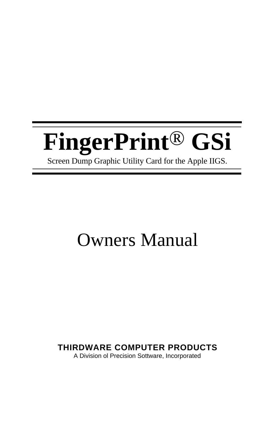# **[FingerPrint](#page-2-0)**® **GSi**

Screen Dump Graphic Utility Card for the Apple IIGS.

# Owners Manual

### **THIRDWARE COMPUTER PRODUCTS**

A Division ol Precision Sottware, Incorporated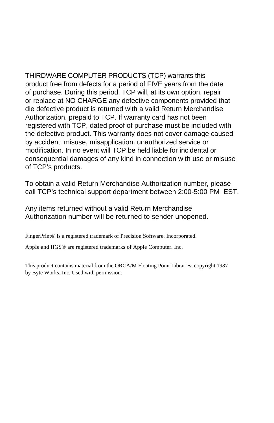THIRDWARE COMPUTER PRODUCTS (TCP) warrants this product free from defects for a period of FIVE years from the date of purchase. During this period, TCP will, at its own option, repair or replace at NO CHARGE any defective components provided that die defective product is returned with a valid Return Merchandise Authorization, prepaid to TCP. If warranty card has not been registered with TCP, dated proof of purchase must be included with the defective product. This warranty does not cover damage caused by accident. misuse, misapplication. unauthorized service or modification. In no event will TCP be held liable for incidental or consequential damages of any kind in connection with use or misuse of TCP's products.

To obtain a valid Return Merchandise Authorization number, please call TCP's technical support department between 2:00-5:00 PM EST.

Any items returned without a valid Return Merchandise Authorization number will be returned to sender unopened.

FingerPrint® is a registered trademark of Precision Software. Incorporated.

AppIe and IIGS® are registered trademarks of Apple Computer. Inc.

This product contains material from the ORCA/M Floating Point Libraries, copyright 1987 by Byte Works. Inc. Used with permission.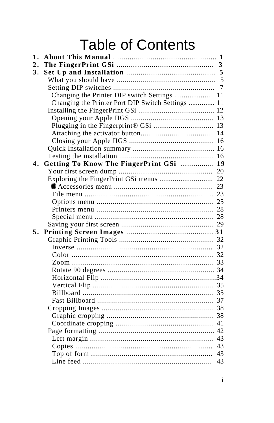# **Table of Contents**

<span id="page-2-0"></span>

| 1. |                                                   |    |
|----|---------------------------------------------------|----|
| 2. |                                                   | 3  |
| 3. |                                                   |    |
|    |                                                   | 5  |
|    |                                                   | 7  |
|    | Changing the Printer DIP switch Settings  11      |    |
|    | Changing the Printer Port DIP Switch Settings  11 |    |
|    |                                                   |    |
|    |                                                   | 13 |
|    |                                                   |    |
|    |                                                   | 14 |
|    |                                                   | 16 |
|    |                                                   |    |
|    |                                                   | 16 |
| 4. | Getting To Know The FingerPrint GSi               | 19 |
|    |                                                   | 20 |
|    |                                                   | 22 |
|    |                                                   |    |
|    |                                                   |    |
|    |                                                   |    |
|    |                                                   |    |
|    |                                                   |    |
|    |                                                   |    |
| 5. |                                                   |    |
|    |                                                   |    |
|    |                                                   | 32 |
|    |                                                   |    |
|    |                                                   |    |
|    |                                                   |    |
|    |                                                   |    |
|    |                                                   |    |
|    |                                                   |    |
|    |                                                   |    |
|    |                                                   |    |
|    |                                                   |    |
|    |                                                   |    |
|    |                                                   |    |
|    |                                                   | 43 |
|    |                                                   | 43 |
|    |                                                   | 43 |
|    |                                                   | 43 |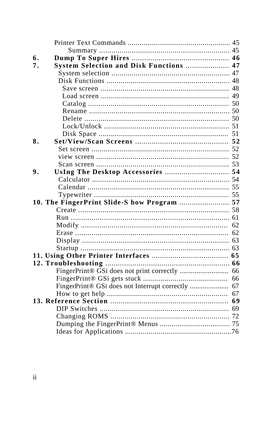| 6. |                                               |    |
|----|-----------------------------------------------|----|
| 7. | System Selection and Disk Functions  47       |    |
|    |                                               |    |
|    |                                               |    |
|    |                                               |    |
|    |                                               | 49 |
|    |                                               |    |
|    |                                               |    |
|    |                                               |    |
|    |                                               |    |
|    |                                               |    |
| 8. |                                               |    |
|    |                                               |    |
|    |                                               |    |
|    |                                               |    |
| 9. |                                               |    |
|    |                                               |    |
|    |                                               |    |
|    |                                               |    |
|    | 10. The FingerPrint Slide-S how Program  57   |    |
|    |                                               |    |
|    |                                               |    |
|    |                                               | 62 |
|    |                                               | 62 |
|    |                                               |    |
|    |                                               |    |
|    |                                               |    |
|    |                                               |    |
|    |                                               | 66 |
|    |                                               | 66 |
|    | FingerPrint® GSi does not Interrupt correctly | 67 |
|    |                                               | 67 |
|    |                                               | 69 |
|    |                                               |    |
|    |                                               |    |
|    |                                               |    |
|    |                                               |    |
|    |                                               |    |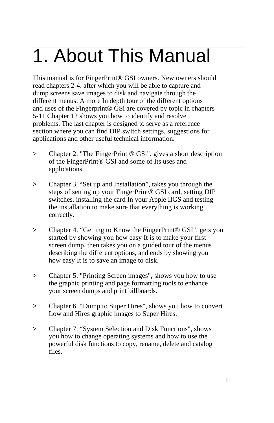# <span id="page-4-0"></span> 1. About This Manual

This manual is for FingerPrint® GSI owners. New owners should read chapters 2-4. after which you will be able to capture and dump screens save images to disk and navigate through the different menus. A more In depth tour of the different options and uses of the Fingerprint® GSi are covered by topic in chapters 5-11 Chapter 12 shows you how to identify and resolve problems. The last chapter is designed to serve as a reference section where you can find DIP swItch settings, suggestions for applications and other useful technical information.

- **>** Chapter 2. "The FingerPrint ® GSi". gives a short description of the FingerPrint® GSI and some of Its uses and applications.
- **>** Chapter 3. "Set up and Installation", takes you through the steps of setting up your FingerPrint® GSI card, setting DIP switches. installing the card In your Apple IIGS and testing the installation to make sure that everything is working correctly.
- **>** Chapter 4. "Getting to Know the FingerPrint® GSI". gets you started by showing you how easy It is to make your first screen dump, then takes you on a guided tour of the menus describing the different options, and ends by showing you how easy It is to save an image to disk.
- **>** Chapter 5. "Printing Screen images", shows you how to use the graphic printing and page formattIng tools to enhance your screen dumps and print billboards.
- **>** Chapter 6. "Dump to Super Hires", shows you how to convert Low and Hires graphic images to Super Hires.
- **>** Chapter 7. "System Selection and Disk Functions", shows you how to change operating systems and how to use the powerful disk functions to copy, rename, delete and catalog files.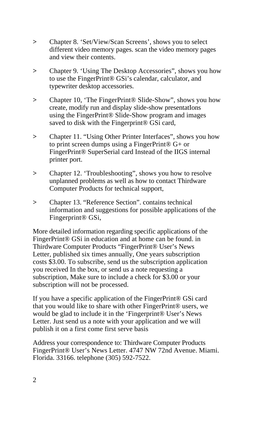- **>** Chapter 8. 'Set/View/Scan Screens', shows you to select different video memory pages. scan the video memory pages and view their contents.
- **>** Chapter 9. 'Using The Desktop Accessories", shows you how to use the FingerPrint® GSi's calendar, calculator, and typewriter desktop accessories.
- **>** Chapter 10, 'The FingerPrint® Slide-Show", shows you how create, modify run and display slide-show presentatIons using the FingerPrint® Slide-Show program and images saved to disk with the Fingerprint® GSi card,
- **>** Chapter 11. "Using Other Printer Interfaces", shows you how to print screen dumps using a FingerPrint® G+ or FingerPrint® SuperSerial card Instead of the IIGS internal printer port.
- **>** Chapter 12. 'Troubleshooting", shows you how to resolve unplanned problems as well as how to contact Thirdware Computer Products for technical support,
- **>** Chapter 13. "Reference Section". contains technical information and suggestions for possible applications of the Fingerprint® GSi,

More detailed information regarding specific applications of the FingerPrint® GSi in education and at home can be found. in Thirdware Computer Products "FingerPrint® User's News Letter, published six times annually, One years subscription costs \$3.00. To subscribe, send us the subscription application you received In the box, or send us a note requesting a subscription, Make sure to include a check for \$3.00 or your subscription will not be processed.

If you have a specific application of the FingerPrint® GSi card that you would like to share with other FingerPrint® users, we would be glad to include it in the 'Fingerprint® User's News Letter. Just send us a note with your application and we will publish it on a first come first serve basis

Address your correspondence to: Thirdware Computer Products FingerPrint® User's News Letter. 4747 NW 72nd Avenue. Miami. Florida. 33166. telephone (305) 592-7522.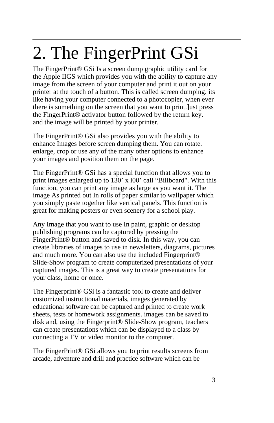# <span id="page-6-0"></span> $\overline{a}$ 2. The FingerPrint GSi

The FingerPrint® GSi Is a screen dump graphic utility card for the Apple IIGS which provides you with the ability to capture any image from the screen of your computer and print it out on your printer at the touch of a button. This is called screen dumping. its like having your computer connected to a photocopier, when ever there is something on the screen that you want to print.]ust press the FingerPrint® activator button followed by the return key. and the image will be printed by your printer.

The FingerPrint® GSi also provides you with the ability to enhance Images before screen dumping them. You can rotate. enlarge, crop or use any of the many other options to enhance your images and position them on the page.

The FingerPrint® GSi has a special function that allows you to print images enlarged up to 130' x l00' call "Billboard". With this function, you can print any image as large as you want it. The image As printed out In rolls of paper similar to wallpaper which you simply paste together like vertical panels. This function is great for making posters or even scenery for a school play.

Any Image that you want to use In paint, graphic or desktop publishing programs can be captured by pressing the FingerPrint® button and saved to disk. In this way, you can create libraries of images to use in newsletters, diagrams, pictures and much more. You can also use the included Fingerprint® Slide-Show program to create computerized presentatIons of your captured images. This is a great way to create presentations for your class, home or once.

The Fingerprint® GSi is a fantastic tool to create and deliver customized instructional materials, images generated by educational software can be captured and printed to create work sheets, tests or homework assignments. images can be saved to disk and, using the Fingerprint® Slide-Show program, teachers can create presentations which can be displayed to a class by connecting a TV or video monitor to the computer.

The FingerPrint® GSi allows you to print results screens from arcade, adventure and drill and practice software which can be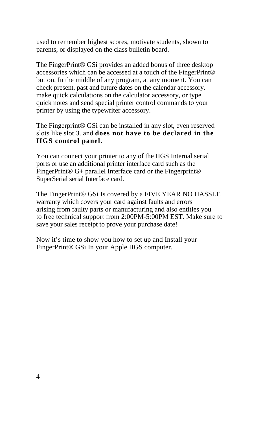used to remember highest scores, motivate students, shown to parents, or displayed on the class bulletin board.

The FingerPrint® GSi provides an added bonus of three desktop accessories which can be accessed at a touch of the FingerPrint® button. In the middle of any program, at any moment. You can check present, past and future dates on the calendar accessory. make quick calculations on the calculator accessory, or type quick notes and send special printer control commands to your printer by using the typewriter accessory.

The Fingerprint® GSi can be installed in any slot, even reserved slots like slot 3. and **does not have to be declared in the IIGS control panel.**

You can connect your printer to any of the IIGS Internal serial ports or use an additional printer interface card such as the FingerPrint<sup>®</sup> G+ parallel Interface card or the Fingerprint<sup>®</sup> SuperSerial serial Interface card.

The FingerPrint® GSi Is covered by a FIVE YEAR NO HASSLE warranty which covers your card against faults and errors arising from faulty parts or manufacturing and also entitles you to free technical support from 2:00PM-5:00PM EST. Make sure to save your sales receipt to prove your purchase date!

Now it's time to show you how to set up and Install your FingerPrint® GSi In your Apple IIGS computer.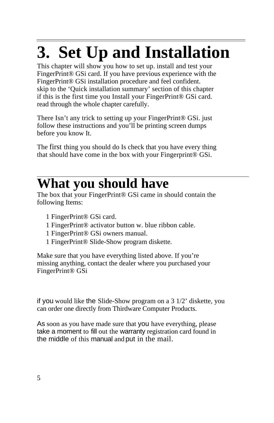# <span id="page-8-0"></span> **3. Set Up and Installation**

This chapter will show you how to set up. install and test your FingerPrint® GSi card. If you have previous experience with the FingerPrint® GSi installation procedure and feel confident. skip to the 'Quick installation summary' section of this chapter if this is the first time you Install your FingerPrint® GSi card. read through the whole chapter carefully.

There Isn't any trick to setting up your FingerPrint® GSi. just follow these instructions and you'll be printing screen dumps before you know It.

The first thing you should do Is check that you have every thing that should have come in the box with your Fingerprint® GSi.

### $\overline{a}$ **What you should have**

The box that your FingerPrint® GSi came in should contain the following Items:

- 1 FingerPrint® GSi card.
- 1 FingerPrint® activator button w. blue ribbon cable.
- 1 FingerPrint® GSi owners manual.
- 1 FingerPrint® Slide-Show program diskette.

Make sure that you have everything listed above. If you're missing anything, contact the dealer where you purchased your FingerPrint® GSi

if you would like the Slide-Show program on a 3 1/2' diskette, you can order one directly from Thirdware Computer Products.

As soon as you have made sure that you have everything, please take a moment to fill out the warranty registration card found in the middle of this manual and put in the mail.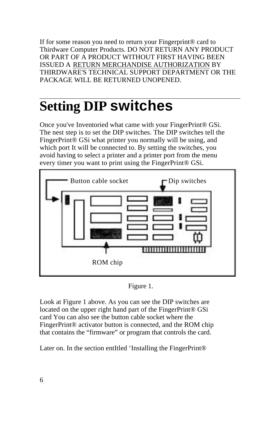If for some reason you need to return your Fingerprint® card to Thirdware Computer Products. DO NOT RETURN ANY PRODUCT OR PART OF A PRODUCT WITHOUT FIRST HAVING BEEN ISSUED A RETURN MERCHANDISE AUTHORIZATION BY THIRDWARE'S TECHNICAL SUPPORT DEPARTMENT OR THE PACKAGE WILL BE RETURNED UNOPENED.

## $\overline{a}$ **Setting DIP switches**

Once you've Inventoried what came with your FingerPrint® GSi. The nest step is to set the DIP switches. The DIP switches tell the FingerPrint® GSi what printer you normally will be using, and which port It will be connected to. By setting the switches, you avoid having to select a printer and a printer port from the menu every timer you want to print using the FingerPrint® GSi.



Figure 1.

Look at Figure 1 above. As you can see the DIP switches are located on the upper right hand part of the FingerPrint® GSi card You can also see the button cable socket where the FingerPrint® activator button is connected, and the ROM chip that contains the "firmware" or program that controls the card.

Later on. In the section entItled 'Installing the FingerPrint®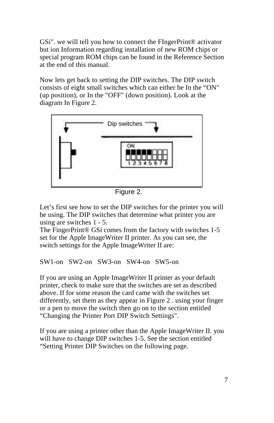<span id="page-10-0"></span>GSi". we will tell you how to connect the FIngerPrint® activator but ion Information regarding installation of new ROM chips or special program ROM chips can be found in the Reference Section at the end of this manual.

Now lets get back to setting the DIP switches. The DIP switch consists of eight small switches which can either be In the "ON" (up position), or In the "OFF" (down position). Look at the diagram In Figure 2.



Figure 2.

Let's first see how to set the DIP switches for the printer you will be using. The DIP switches that determine what printer you are using are switches 1 - 5.

The FingerPrint® GSi comes from the factory with switches 1-5 set for the Apple ImageWriter II printer. As you can see, the switch settings for the Apple ImageWriter II are:

```
SW1-on SW2-on SW3-on SW4-on SW5-on
```
If you are using an Apple ImageWriter II printer as your default printer, check to make sure that the switches are set as described above. If for some reason the card came with the switches set differently, set them as they appear in Figure 2 . using your finger or a pen to move the switch then go on to the section entitled "Changing the Printer Port DIP Switch Settings".

If you are using a printer other than the Apple ImageWriter II. you will have to change DIP switches 1-5. See the section entitled "Setting Printer DIP Switches on the following page.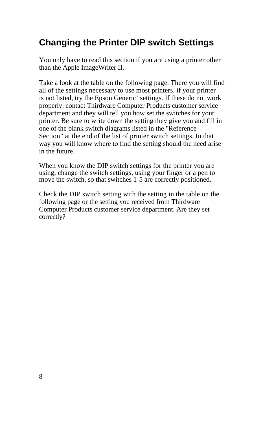## **Changing the Printer DIP switch Settings**

You only have to read this section if you are using a printer other than the Apple ImageWriter II.

Take a look at the table on the following page. There you will find all of the settings necessary to use most printers. if your printer is not listed, try the Epson Generic' settings. If these do not work properly. contact Thirdware Computer Products customer service department and they will tell you how set the switches for your printer. Be sure to write down the setting they give you and fill in one of the blank switch diagrams listed in the "Reference Section" at the end of the list of printer switch settings. In that way you will know where to find the setting should the need arise in the future.

When you know the DIP switch settings for the printer you are using, change the switch settings, using your finger or a pen to move the switch, so that switches 1-5 are correctly positioned.

Check the DIP switch setting with the setting in the table on the following page or the setting you received from Thirdware Computer Products customer service department. Are they set correctly?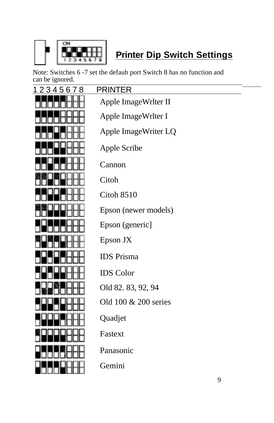

# **Printer Dip Switch Settings**

Note: Switches 6 -7 set the defauh port Switch 8 has no function and can be ignored.

| 12345678 | <b>PRINTER</b>       |  |
|----------|----------------------|--|
|          | Apple ImageWrlter II |  |
|          | Apple ImageWrlter I  |  |
|          | Apple ImageWriter LQ |  |
|          | Apple Scribe         |  |
|          | Cannon               |  |
|          | Citoh                |  |
|          | Citoh 8510           |  |
|          | Epson (newer models) |  |
|          | Epson (generic)      |  |
|          | Epson JX             |  |
|          | <b>IDS</b> Prisma    |  |
|          | <b>IDS</b> Color     |  |
|          | Old 82.83, 92, 94    |  |
|          | Old 100 & 200 series |  |
|          | Quadjet              |  |
|          | Fastext              |  |
|          | Panasonic            |  |
|          | Gemini               |  |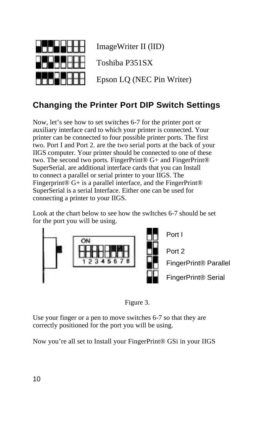<span id="page-13-0"></span>

ImageWriter II (lID)

Toshiba P351SX

Epson LQ (NEC Pin Writer)

### **Changing the Printer Port DIP Switch Settings**

Now, let's see how to set switches 6-7 for the printer port or auxiliary interface card to which your printer is connected. Your printer can be connected to four possible printer ports. The first two. Port I and Port 2. are the two serial ports at the back of your IIGS computer. Your printer should be connected to one of these two. The second two ports. FingerPrint® G+ and FingerPrint® SuperSerial. are additional interface cards that you can Install to connect a parallel or serial printer to your IIGS. The Fingerprint<sup>®</sup> G+ is a parallel interface, and the FingerPrint<sup>®</sup> SuperSerial is a serial Interface. Either one can be used for connecting a printer to your IIGS.

Look at the chart below to see how the swItches 6-7 should be set for the port you will be using.





Use your finger or a pen to move switches 6-7 so that they are correctly positioned for the port you will be using.

Now you're all set to Install your FingerPrint® GSi in your IIGS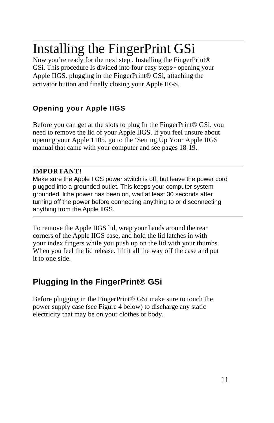# <span id="page-14-0"></span> $\overline{a}$ Installing the FingerPrint GSi

Now you're ready for the next step . Installing the FingerPrint® GSi. This procedure Is divided into four easy steps~ opening your Apple IIGS. plugging in the FingerPrint® GSi, attaching the activator button and finally closing your Apple IIGS.

### **Opening your Apple IIGS**

Before you can get at the slots to plug In the FingerPrint® GSi. you need to remove the lid of your Apple IIGS. If you feel unsure about opening your Apple 1105. go to the 'Setting Up Your Apple IIGS manual that came with your computer and see pages 18-19.

#### **IMPORTANT!**

 $\overline{a}$ 

Make sure the Apple IIGS power switch is off, but leave the power cord plugged into a grounded outlet. This keeps your computer system grounded. lithe power has been on, wait at least 30 seconds after turning off the power before connecting anything to or disconnecting anything from the Apple IIGS.

To remove the Apple IIGS lid, wrap your hands around the rear corners of the Apple IIGS case, and hold the lid latches in with your index fingers while you push up on the lid with your thumbs. When you feel the lid release. lift it all the way off the case and put it to one side.

### **Plugging In the FingerPrint® GSi**

Before plugging in the FingerPrint® GSi make sure to touch the power supply case (see Figure 4 below) to discharge any static electricity that may be on your clothes or body.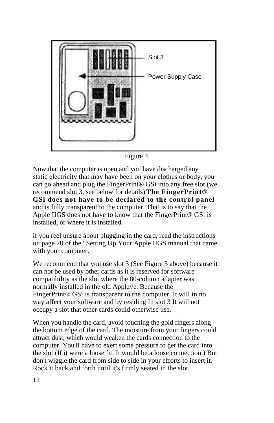

Figure 4.

Now that the computer is open and you have discharged any static electricity that may have been on your clothes or body, you can go ahead and plug the FingerPrint® GSi into any free slot (we recommend slot 3. see below for details) **The FingerPrint® GSi does not have to be declared to the control panel** and is fully transparent to the computer. That is to say that the Apple IIGS does not have to know that the FingerPrint® GSi is installed, or where it is installed.

if you reel unsure about plugging in the card, read the instructions on page 20 of the "Setting Up Your Apple IIGS manual that came with your computer.

We recommend that you use slot 3 (See Figure 3 above) because it can not be used by other cards as it is reserved for software compatibility as the slot where the 80-column adapter was normally installed in the old Apple//e. Because the FingerPrint<sup>®</sup> GSi is transparent to the computer. It will tn no way affect your software and by residing In slot 3 It will not occupy a slot that other cards could otherwise use.

When you handle the card, avoid touching the gold fingers along the bottom edge of the card. The moisture from your fingers could attract dust, which would weaken the cards connection to the computer. You'll have to exert some pressure to get the card into the slot (If it were a loose fit. It would be a loose connection.) But don't wiggle the card from side to side in your efforts to insert it. Rock it back and forth until it's firmly seated in the slot.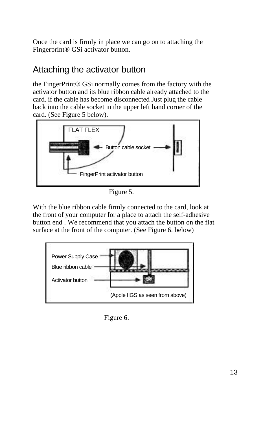<span id="page-16-0"></span>Once the card is firmly in place we can go on to attaching the Fingerprint® GSi activator button.

## Attaching the activator button

the FingerPrint® GSi normally comes from the factory with the activator button and its blue ribbon cable already attached to the card. if the cable has become disconnected Just plug the cable back into the cable socket in the upper left hand corner of the card. (See Figure 5 below).



Figure 5.

With the blue ribbon cable firmly connected to the card, look at the front of your computer for a place to attach the self-adhesive button end . We recommend that you attach the button on the flat surface at the front of the computer. (See Figure 6. below)



Figure 6.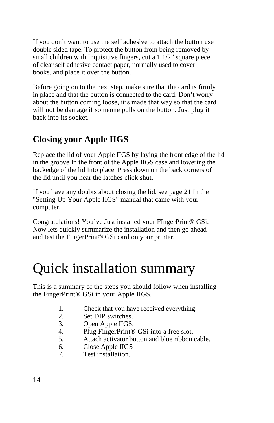<span id="page-17-0"></span>If you don't want to use the self adhesive to attach the button use double sided tape. To protect the button from being removed by small children with Inquisitive fingers, cut a 1 1/2" square piece of clear self adhesive contact paper, normally used to cover books. and place it over the button.

Before going on to the next step, make sure that the card is firmly in place and that the button is connected to the card. Don't worry about the button coming loose, it's made that way so that the card will not be damage if someone pulls on the button. Just plug it back into its socket.

## **Closing your Apple IIGS**

Replace the lid of your Apple IIGS by laying the front edge of the lid in the groove In the front of the Apple IIGS case and lowering the backedge of the lid Into place. Press down on the back corners of the lid until you hear the latches click shut.

If you have any doubts about closing the lid. see page 21 In the "Setting Up Your Apple IIGS" manual that came with your computer.

Congratulations! You've Just installed your FIngerPrint® GSi. Now lets quickly summarize the installation and then go ahead and test the FingerPrint® GSi card on your printer.

# Quick installation summary

This is a summary of the steps you should follow when installing the FingerPrint® GSi in your Apple IIGS.

- 1. Check that you have received everything.
- 2. Set DIP switches.
- 3. Open Apple IIGS.
- 4. Plug FingerPrint® GSi into a free slot.
- 5. Attach activator button and blue ribbon cable.
- 6. Close Apple IIGS
- 7. Test installation.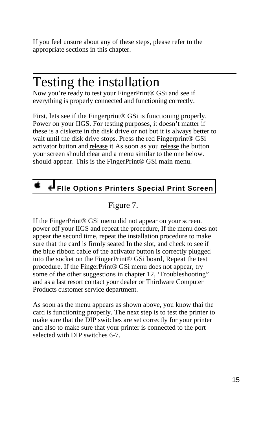<span id="page-18-0"></span>If you feel unsure about any of these steps, please refer to the appropriate sections in this chapter.

# Testing the installation

 $\overline{a}$ 

Now you're ready to test your FingerPrint® GSi and see if everything is properly connected and functioning correctly.

First, lets see if the Fingerprint<sup>®</sup> GSi is functioning properly. Power on your IIGS. For testing purposes, it doesn't matter if these is a diskette in the disk drive or not but it is always better to wait until the disk drive stops. Press the red Fingerprint® GSi activator button and release it As soon as you release the button your screen should clear and a menu similar to the one below. should appear. This is the FingerPrint® GSi main menu.

# **FIle Options Printers Special Print Screen**

#### Figure 7.

If the FingerPrint® GSi menu did not appear on your screen. power off your IIGS and repeat the procedure, If the menu does not appear the second time, repeat the installation procedure to make sure that the card is firmly seated In the slot, and check to see if the blue ribbon cable of the activator button is correctly plugged into the socket on the FingerPrint® GSi board, Repeat the test procedure. If the FingerPrint® GSi menu does not appear, try some of the other suggestions in chapter 12, 'Troubleshooting" and as a last resort contact your dealer or Thirdware Computer Products customer service department.

As soon as the menu appears as shown above, you know thai the card is functioning properly. The next step is to test the printer to make sure that the DIP switches are set correctly for your printer and also to make sure that your printer is connected to the port selected with DIP switches 6-7.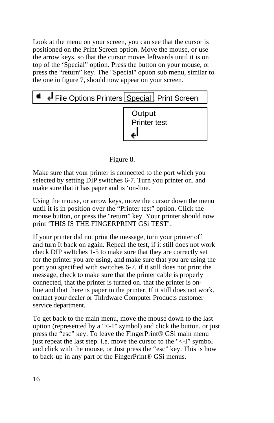Look at the menu on your screen, you can see that the cursor is positioned on the Print Screen option. Move the mouse, or use the arrow keys, so that the cursor moves leftwards until it is on top of the 'Special" option. Press the button on your mouse, or press the "return" key. The "Special" opuon sub menu, similar to the one in figure 7, should now appear on your screen.

| File Options Printers Special   Print Screen |                        |  |  |  |  |  |  |
|----------------------------------------------|------------------------|--|--|--|--|--|--|
|                                              | Output<br>Printer test |  |  |  |  |  |  |

#### Figure 8.

Make sure that your printer is connected to the port which you selected by setting DIP switches 6-7. Turn you printer on. and make sure that it has paper and is 'on-line.

Using the mouse, or arrow keys, move the cursor down the menu until it is in position over the "Printer test" option. Click the mouse button, or press the "return" key. Your printer should now print 'THIS IS THE FINGERPRINT GSi TEST'.

If your printer did not print the message, turn your printer off and turn It back on again. Repeal the test, if it still does not work check DIP swItches 1-5 to make sure that they are correctly set for the printer you are using, and make sure that you are using the port you specified with switches 6-7. if it still does not print the message, check to make sure that the printer cable is properly connected, that the printer is turned on. that the printer is online and that there is paper in the printer. If it still does not work. contact your dealer or Thlrdware Computer Products customer service department.

To get back to the main menu, move the mouse down to the last option (represented by a "<-1" symbol) and click the button. or just press the "esc" key. To leave the FingerPrint® GSi main menu just repeat the last step. i.e. move the cursor to the "<-I" symbol and click with the mouse, or Just press the "esc" key. This is how to back-up in any part of the FingerPrint® GSi menus.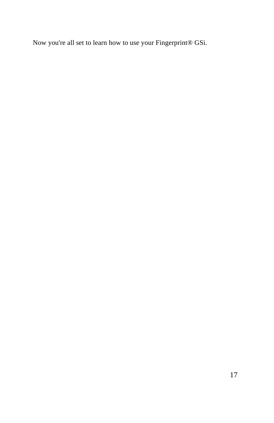Now you're all set to learn how to use your Fingerprint® GSi.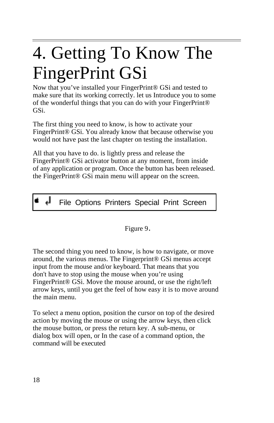# <span id="page-21-0"></span> $\overline{a}$ 4. Getting To Know The FingerPrint GSi

Now that you've installed your FingerPrint® GSi and tested to make sure that its working correctly. let us Introduce you to some of the wonderful things that you can do with your FingerPrint® GSi.

The first thing you need to know, is how to activate your FingerPrint® GSi. You already know that because otherwise you would not have past the last chapter on testing the installation.

All that you have to do. is lightly press and release the FingerPrint® GSi activator button at any moment, from inside of any application or program. Once the button has been released. the FingerPrint® GSi main menu will appear on the screen.

File Options Printers Special Print Screen

Figure 9.

The second thing you need to know, is how to navigate, or move around, the various menus. The Fingerprint® GSi menus accept input from the mouse and/or keyboard. That means that you don't have to stop using the mouse when you're using FingerPrint® GSi. Move the mouse around, or use the right/left arrow keys, until you get the feel of how easy it is to move around the main menu.

To select a menu option, position the cursor on top of the desired action by moving the mouse or using the arrow keys, then click the mouse button, or press the return key. A sub-menu, or dialog box will open, or In the case of a command option, the command will be executed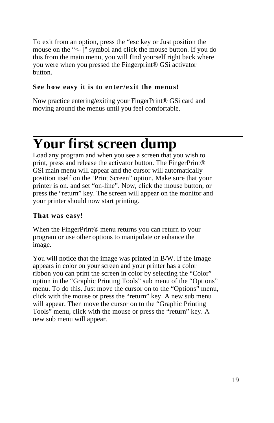<span id="page-22-0"></span>To exit from an option, press the "esc key or Just position the mouse on the "<- |" symbol and click the mouse button. If you do this from the main menu, you will fInd yourself right back where you were when you pressed the Fingerprint® GSi activator button.

#### **See how easy it is to enter/exit the menus!**

Now practice entering/exiting your FingerPrint® GSi card and moving around the menus until you feel comfortable.

## $\overline{a}$ **Your first screen dump**

Load any program and when you see a screen that you wish to print, press and release the activator button. The FingerPrint® GSi main menu will appear and the cursor will automatically position itself on the 'Print Screen" option. Make sure that your printer is on. and set "on-line". Now, click the mouse button, or press the "return" key. The screen will appear on the monitor and your printer should now start printing.

#### **That was easy!**

When the FingerPrint® menu returns you can return to your program or use other options to manipulate or enhance the image.

You will notice that the image was printed in B/W. If the Image appears in color on your screen and your printer has a color ribbon you can print the screen in color by selecting the "Color" option in the "Graphic Printing Tools" sub menu of the "Options" menu. To do this. Just move the cursor on to the "Options" menu, click with the mouse or press the "return" key. A new sub menu will appear. Then move the cursor on to the "Graphic Printing Tools" menu, click with the mouse or press the "return" key. A new sub menu will appear.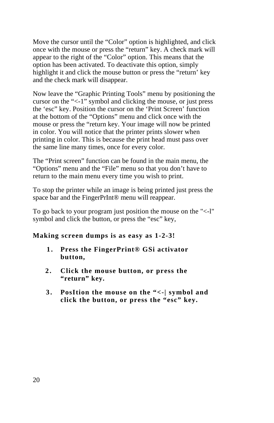Move the cursor until the "Color" option is highlighted, and click once with the mouse or press the "return" key. A check mark will appear to the right of the "Color" option. This means that the option has been activated. To deactivate this option, simply highlight it and click the mouse button or press the "return' key and the check mark will disappear.

Now leave the "Graphic Printing Tools" menu by positioning the cursor on the "<-1" symbol and clicking the mouse, or just press the 'esc" key. Position the cursor on the 'Print Screen' function at the bottom of the "Options" menu and click once with the mouse or press the "return key. Your image will now be printed in color. You will notice that the printer prints slower when printing in color. This is because the print head must pass over the same line many times, once for every color.

The "Print screen" function can be found in the main menu, the "Options" menu and the "File" menu so that you don't have to return to the main menu every time you wish to print.

To stop the printer while an image is being printed just press the space bar and the FingerPrInt® menu will reappear.

To go back to your program just position the mouse on the "<-l" symbol and click the button, or press the "esc" key,

#### **Making screen dumps is as easy as 1-2-3!**

- **1 . Press the FingerPrint® GSi activator button,**
- **2 . Click the mouse button, or press the "return" key.**
- **3 . PosItion the mouse on the "<-| symbol and click the button, or press the "esc" key.**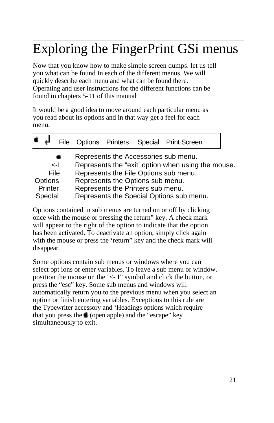# <span id="page-24-0"></span> $\overline{a}$ Exploring the FingerPrint GSi menus

Now that you know how to make simple screen dumps. let us tell you what can be found In each of the different menus. We will quickly describe each menu and what can be found there. Operating and user instructions for the different functions can be found in chapters 5-11 of this manual

It would be a good idea to move around each particular menu as you read about its options and in that way get a feel for each menu.

|                                       | File         |                                                                       | Options Printers Special Print Screen                                                                                                                                           |  |
|---------------------------------------|--------------|-----------------------------------------------------------------------|---------------------------------------------------------------------------------------------------------------------------------------------------------------------------------|--|
| File<br>Options<br>Printer<br>Special | $\leftarrow$ | Represents the Options sub menu.<br>Represents the Printers sub menu. | Represents the Accessories sub menu.<br>Represents the "exit" option when using the mouse.<br>Represents the File Options sub menu.<br>Represents the Special Options sub menu. |  |

Options contained in sub menus are turned on or off by clicking once with the mouse or pressing the return" key. A check mark will appear to the right of the option to indicate that the option has been activated. To deactivate an option, simply click again with the mouse or press the 'return" key and the check mark will disappear.

Some options contain sub menus or windows where you can select opt ions or enter variables. To leave a sub menu or window. position the mouse on the '<- I" symbol and click the button, or press the "esc" key. Some sub menus and windows will automatically return you to the previous menu when you select an option or finish entering variables. Exceptions to this rule are the Typewriter accessory and 'Headings options which require that you press the  $\triangleq$  (open apple) and the "escape" key simultaneously to exit.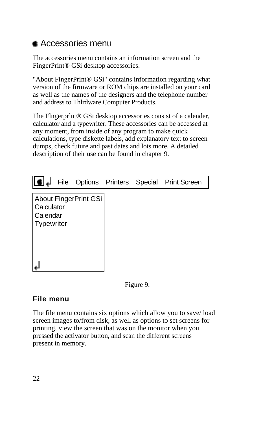### <span id="page-25-0"></span>**▲ Accessories menu**

The accessories menu contains an information screen and the FingerPrint® GSi desktop accessories.

"About FingerPrint® GSi" contains information regarding what version of the firmware or ROM chips are installed on your card as well as the names of the designers and the telephone number and address to Thlrdware Computer Products.

The Flngerprlnt® GSi desktop accessories consist of a calender, calculator and a typewriter. These accessories can be accessed at any moment, from inside of any program to make quick calculations, type diskette labels, add explanatory text to screen dumps, check future and past dates and lots more. A detailed description of their use can be found in chapter 9.

|                                      |                       |  | File Options Printers Special Print Screen |
|--------------------------------------|-----------------------|--|--------------------------------------------|
| Calculator<br>Calendar<br>Typewriter | About FingerPrint GSi |  |                                            |

Figure 9.

#### **File menu**

The file menu contains six options which allow you to save/ load screen images to/from disk, as well as options to set screens for printing, view the screen that was on the monitor when you pressed the activator button, and scan the different screens present in memory.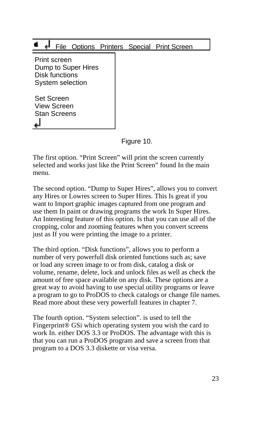#### File Options Printers Special Print Screen

 Print screen Dump to Super Hires Disk functions System selection

 Set Screen View Screen Stan Screens

Figure 10.

The first option. "Print Screen" will print the screen currently selected and works just like the Print Screen" found In the main menu.

The second option. "Dump to Super Hires", allows you to convert any Hires or Lowres screen to Super Hires. This Is great if you want to Import graphic images captured from one program and use them In paint or drawing programs the work In Super Hires. An Interesting feature of this option. Is that you can use all of the cropping, color and zooming features when you convert screens just as If you were printing the image to a printer.

The third option. "Disk functions", allows you to perform a number of very powerfull disk oriented functions such as; save or load any screen image to or from disk, catalog a disk or volume, rename, delete, lock and unlock files as well as check the amount of free space available on any disk. These options are a great way to avoid having to use special utility programs or leave a program to go to ProDOS to check catalogs or change file names. Read more about these very powerfull features in chapter 7.

The fourth option. "System selection". is used to tell the Fingerprint® GSi which operating system you wish the card to work In. either DOS 3.3 or ProDOS. The advantage with this is that you can run a ProDOS program and save a screen from that program to a DOS 3.3 diskette or visa versa.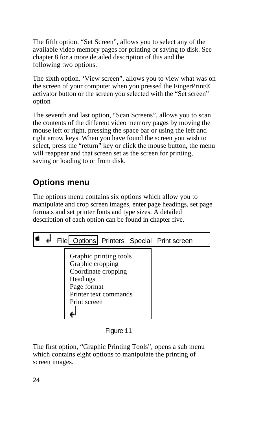<span id="page-27-0"></span>The fifth option. "Set Screen", allows you to select any of the available video memory pages for printing or saving to disk. See chapter 8 for a more detailed description of this and the following two options.

The sixth option. 'View screen", allows you to view what was on the screen of your computer when you pressed the FingerPrint® activator button or the screen you selected with the "Set screen" option

The seventh and last option, "Scan Screens", allows you to scan the contents of the different video memory pages by moving the mouse left or right, pressing the space bar or using the left and right arrow keys. When you have found the screen you wish to select, press the "return" key or click the mouse button, the menu will reappear and that screen set as the screen for printing, saving or loading to or from disk.

## **Options menu**

The options menu contains six options which allow you to manipulate and crop screen images, enter page headings, set page formats and set printer fonts and type sizes. A detailed description of each option can be found in chapter five.



Figure 11

The first option, "Graphic Printing Tools", opens a sub menu which contains eight options to manipulate the printing of screen images.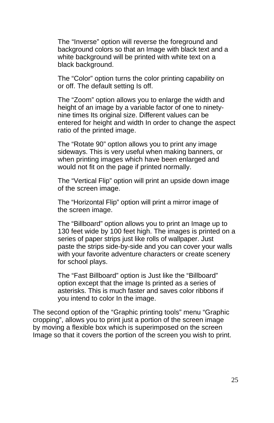The "Inverse" option will reverse the foreground and background colors so that an Image with black text and a white background will be printed with white text on a black background.

The "Color" option turns the color printing capability on or off. The default setting Is off.

The "Zoom" option allows you to enlarge the width and height of an image by a variable factor of one to ninetynine times Its original size. Different values can be entered for height and width In order to change the aspect ratio of the printed image.

The "Rotate 90" optIon allows you to print any image sideways. This is very useful when making banners, or when printing images which have been enlarged and would not fit on the page if printed normally.

The "Vertical Flip" option will print an upside down image of the screen image.

The "Horizontal Flip" option will print a mirror image of the screen image.

The "Billboard" option allows you to print an Image up to 130 feet wide by 100 feet high. The images is printed on a series of paper strips just like rolls of wallpaper. Just paste the strips side-by-side and you can cover your walls with your favorite adventure characters or create scenery for school plays.

The "Fast Billboard" option is Just like the "Billboard" option except that the image Is printed as a series of asterisks. This is much faster and saves color ribbons if you intend to color In the image.

The second option of the "Graphic printing tools" menu "Graphic cropping", allows you to print just a portion of the screen image by moving a flexible box which is superimposed on the screen Image so that it covers the portion of the screen you wish to print.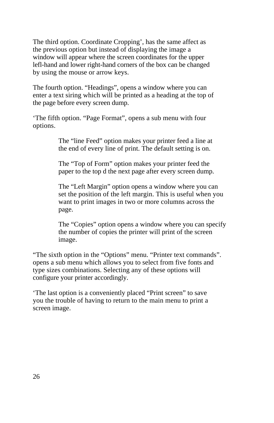The third option. Coordinate Cropping', has the same affect as the previous option but instead of displaying the image a window will appear where the screen coordinates for the upper lefl-hand and lower right-hand corners of the box can be changed by using the mouse or arrow keys.

The fourth option. "Headings", opens a window where you can enter a text siring which will be printed as a heading at the top of the page before every screen dump.

'The fifth option. "Page Format", opens a sub menu with four options.

> The "line Feed" option makes your printer feed a line at the end of every line of print. The default setting is on.

> The "Top of Form" option makes your printer feed the paper to the top d the next page after every screen dump.

The "Left Margin" option opens a window where you can set the position of the left margin. This is useful when you want to print images in two or more columns across the page.

The "Copies" option opens a window where you can specify the number of copies the printer will print of the screen image.

"The sixth option in the "Options" menu. "Printer text commands". opens a sub menu which allows you to select from five fonts and type sizes combinations. Selecting any of these options will configure your printer accordingly.

'The last option is a conveniently placed "Print screen" to save you the trouble of having to return to the main menu to print a screen image.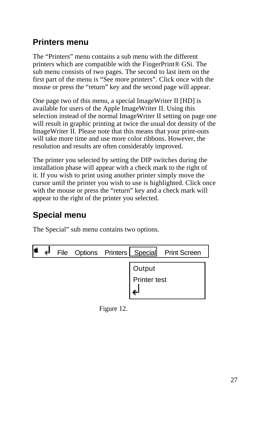### <span id="page-30-0"></span>**Printers menu**

The "Printers" menu contains a sub menu with the different printers which are compatible with the FingerPrint® GSi. The sub menu consists of two pages. The second to last item on the first part of the menu is "See more printers". Click once with the mouse or press the "return" key and the second page will appear.

One page two of this menu, a special ImageWriter II [HD] is available for users of the Apple ImageWriter II. Using this selection instead of the normal ImageWriter II setting on page one will result in graphic printing at twice the usual dot density of the ImageWriter II. Please note that this means that your print-outs will take more time and use more color ribbons. However, the resolution and results are often considerably improved.

The printer you selected by setting the DIP switches during the installation phase will appear with a check mark to the right of it. If you wish to print using another printer simply move the cursor until the printer you wish to use is highlighted. Click once with the mouse or press the "return" key and a check mark will appear to the right of the printer you selected.

## **Special menu**

The Special" sub menu contains two options.

| ᆗ |  |                     | File Options Printers   Special Print Screen |
|---|--|---------------------|----------------------------------------------|
|   |  | Output              |                                              |
|   |  | <b>Printer test</b> |                                              |

Figure 12.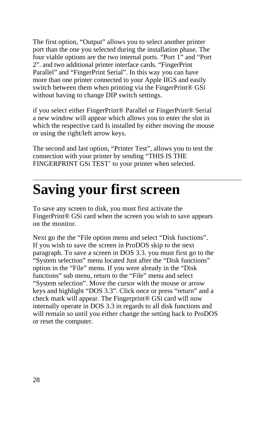<span id="page-31-0"></span>The first option, "Output" allows you to select another printer port than the one you selected during the installation phase. The four viable options are the two internal ports. "Port 1" and "Port 2". and two additional printer interface cards. "FingerPrint Parallel" and "FingerPrint Serial". In this way you can have more than one printer connected to your Apple IIGS and easily switch between them when printing via the FingerPrint® GSi without having to change DIP switch settings.

if you select either FingerPrint® Parallel or FingerPrint® Serial a new window will appear which allows you to enter the slot in which the respective card Is installed by either moving the mouse or using the right/left arrow keys.

The second and last option, "Printer Test", allows you to test the connection with your printer by sending "THIS IS THE FINGERPRINT GSi TEST' to your printer when selected.

# **Saving your first screen**

To save any screen to disk, you must first activate the FingerPrint<sup>®</sup> GSi card when the screen you wish to save appears on the monitor.

Next go the the "File option menu and select "Disk functions". If you wish to save the screen in ProDOS skip to the next paragraph. To save a screen in DOS 3.3. you must first go to the "System selection" menu located Just after the "Disk functions" option in the "File" menu. If you were already in the "Disk functions" sub menu, return to the "File" menu and select "System selection". Move the cursor with the mouse or arrow keys and highlight "DOS 3.3". Click once or press "return" and a check mark will appear. The Fingerprint® GSi card will now internally operate in DOS 3.3 in regards to all disk functions and will remain so until you either change the setting back to ProDOS or reset the computer.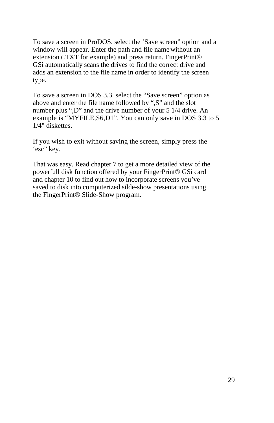To save a screen in ProDOS. select the 'Save screen" option and a window will appear. Enter the path and file name without an extension (.TXT for example) and press return. FingerPrint® GSi automatically scans the drives to find the correct drive and adds an extension to the file name in order to identify the screen type.

To save a screen in DOS 3.3. select the "Save screen" option as above and enter the file name followed by ",S" and the slot number plus ",D" and the drive number of your 5 1/4 drive. An example is "MYFILE,S6,D1". You can only save in DOS 3.3 to 5 1/4" diskettes.

If you wish to exit without saving the screen, simply press the 'esc" key.

That was easy. Read chapter 7 to get a more detailed view of the powerfull disk function offered by your FingerPrint® GSi card and chapter 10 to find out how to incorporate screens you've saved to disk into computerized silde-show presentations using the FingerPrint® Slide-Show program.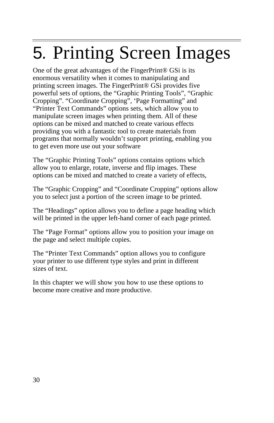# 5*.* Printing Screen Images

One of the great advantages of the FingerPrint® GSi is its enormous versatility when it comes to manipulating and printing screen images. The FingerPrint® GSi provides five powerful sets of options, the "Graphic Printing Tools", "Graphic Cropping". "Coordinate Cropping", 'Page Formatting" and "Printer Text Commands" options sets, which allow you to manipulate screen images when printing them. All of these options can be mixed and matched to create various effects providing you with a fantastic tool to create materials from programs that normally wouldn't support printing, enabling you to get even more use out your software

The "Graphic Printing Tools" options contains options which allow you to enlarge, rotate, inverse and flip images. These options can be mixed and matched to create a variety of effects,

The "Graphic Cropping" and "Coordinate Cropping" options allow you to select just a portion of the screen image to be printed.

The "Headings" option allows you to define a page heading which will be printed in the upper left-hand corner of each page printed.

The "Page Format" options allow you to position your image on the page and select multiple copies.

The "Printer Text Commands" option allows you to configure your printer to use different type styles and print in different sizes of text.

In this chapter we will show you how to use these options to become more creative and more productive.

<span id="page-33-0"></span> $\overline{a}$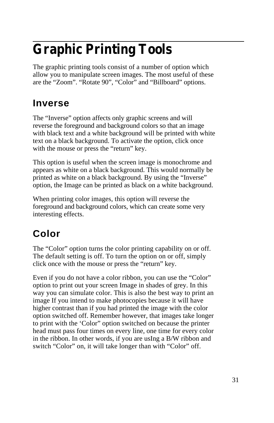# <span id="page-34-0"></span> **Graphic Printing Tools**

The graphic printing tools consist of a number of option which allow you to manipulate screen images. The most useful of these are the "Zoom". "Rotate 90", "Color" and "Billboard" options.

## **Inverse**

The "Inverse" option affects only graphic screens and will reverse the foreground and background colors so that an image with black text and a white background will be printed with white text on a black background. To activate the option, click once with the mouse or press the "return" key.

This option is useful when the screen image is monochrome and appears as white on a black background. This would normally be printed as white on a black background. By using the "Inverse" option, the Image can be printed as black on a white background.

When printing color images, this option will reverse the foreground and background colors, which can create some very interesting effects.

# **Color**

The "Color" option turns the color printing capability on or off. The default setting is off. To turn the option on or off, simply click once with the mouse or press the "return" key.

Even if you do not have a color ribbon, you can use the "Color" option to print out your screen Image in shades of grey. In this way you can simulate color. This is also the best way to print an image If you intend to make photocopies because it will have higher contrast than if you had printed the image with the color option switched off. Remember however, that images take longer to print with the 'Color" option switched on because the printer head must pass four times on every line, one time for every color in the ribbon. In other words, if you are usIng a B/W ribbon and switch "Color" on, it will take longer than with "Color" off.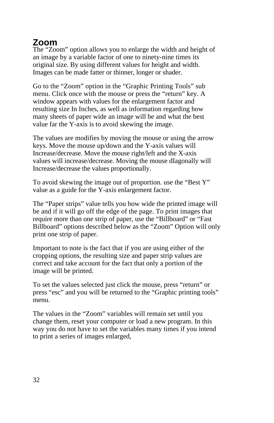## <span id="page-35-0"></span>**Zoom**

The "Zoom" option allows you to enlarge the width and height of an image by a variable factor of one to ninety-nine times its original size. By using different values for height and width. Images can be made fatter or thinner, longer or shader.

Go to the "Zoom" option in the "Graphic Printing Tools" sub menu. Click once with the mouse or press the "return" key. A window appears with values for the enlargement factor and resulting size In Inches, as well as information regarding how many sheets of paper wide an image will be and what the best value far the Y-axis is to avoid skewing the image.

The values are modifies by moving the mouse or using the arrow keys. Move the mouse up/down and the Y-axis values will Increase/decrease. Move the mouse right/left and the X-axis values will increase/decrease. Moving the mouse dIagonally will Increase/decrease the values proportionally.

To avoid skewing the image out of proportion. use the "Best Y" value as a guide for the Y-axis enlargement factor.

The "Paper strips" value tells you how wide the printed image will be and if it will go off the edge of the page. To print images that require more than one strip of paper, use the "Billboard" or "Fast Billboard" options described below as the "Zoom" Option will only print one strip of paper.

Important to note is the fact that if you are using either of the cropping options, the resulting size and paper strip values are correct and take account for the fact that only a portion of the image will be printed.

To set the values selected just click the mouse, press "return" or press "esc" and you will be returned to the "Graphic printing tools" menu.

The values in the "Zoom" variables will remain set until you change them, reset your computer or load a new program. In this way you do not have to set the variables many times if you intend to print a series of images enlarged,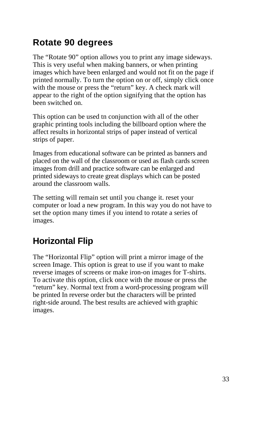### **Rotate 90 degrees**

The "Rotate 90" option allows you to print any image sideways. This is very useful when making banners, or when printing images which have been enlarged and would not fit on the page if printed normally. To turn the option on or off, simply click once with the mouse or press the "return" key. A check mark will appear to the right of the option signifying that the option has been switched on.

This option can be used tn conjunction with all of the other graphic printing tools including the billboard option where the affect results in horizontal strips of paper instead of vertical strips of paper.

Images from educational software can be printed as banners and placed on the wall of the classroom or used as flash cards screen images from drill and practice software can be enlarged and printed sideways to create great displays which can be posted around the classroom walls.

The setting will remain set until you change it. reset your computer or load a new program. In this way you do not have to set the option many times if you intend to rotate a series of images.

### **Horizontal Flip**

The "Horizontal Flip" option will print a mirror image of the screen Image. This option is great to use if you want to make reverse images of screens or make iron-on images for T-shirts. To activate this option, click once with the mouse or press the "return" key. Normal text from a word-processing program will be printed In reverse order but the characters will be printed right-side around. The best results are achieved with graphic images.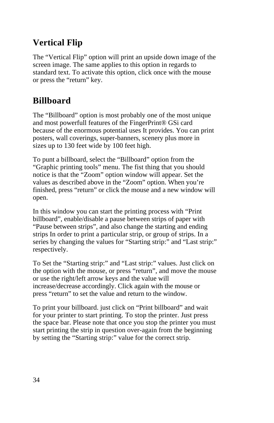#### **Vertical Flip**

The "Vertical Flip" option will print an upside down image of the screen image. The same applies to this option in regards to standard text. To activate this option, click once with the mouse or press the "return" key.

#### **Billboard**

The "Billboard" option is most probably one of the most unique and most powerfull features of the FingerPrint® GSi card because of the enormous potential uses It provides. You can print posters, wall coverings, super-banners, scenery plus more in sizes up to 130 feet wide by 100 feet high.

To punt a billboard, select the "Billboard" option from the "Graphic printing tools" menu. The fist thing that you should notice is that the "Zoom" option window will appear. Set the values as described above in the "Zoom" option. When you're finished, press "return" or click the mouse and a new window will open.

In this window you can start the printing process with "Print billboard", enable/disable a pause between strips of paper with "Pause between strips", and also change the starting and ending strips In order to print a particular strip, or group of strips. In a series by changing the values for "Starting strip:" and "Last strip:" respectively.

To Set the "Starting strip:" and "Last strip:" values. Just click on the option with the mouse, or press "return", and move the mouse or use the right/left arrow keys and the value will increase/decrease accordingly. Click again with the mouse or press "return" to set the value and return to the window.

To print your billboard. just click on "Print billboard" and wait for your printer to start printing. To stop the printer. Just press the space bar. Please note that once you stop the printer you must start printing the strip in question over-again from the beginning by setting the "Starting strip:" value for the correct strip.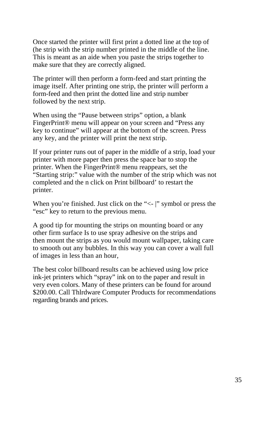Once started the printer will first print a dotted line at the top of (he strip with the strip number printed in the middle of the line. This is meant as an aide when you paste the strips together to make sure that they are correctly aligned.

The printer will then perform a form-feed and start printing the image itself. After printing one strip, the printer will perform a form-feed and then print the dotted line and strip number followed by the next strip.

When using the "Pause between strips" option, a blank FingerPrint® menu will appear on your screen and "Press any key to continue" will appear at the bottom of the screen. Press any key, and the printer will print the next strip.

If your printer runs out of paper in the middle of a strip, load your printer with more paper then press the space bar to stop the printer. When the FingerPrint® menu reappears, set the "Starting strip:" value with the number of the strip which was not completed and the n click on Print billboard' to restart the printer.

When you're finished. Just click on the "<- |" symbol or press the "esc" key to return to the previous menu.

A good tip for mounting the strips on mounting board or any other firm surface Is to use spray adhesive on the strips and then mount the strips as you would mount wallpaper, taking care to smooth out any bubbles. In this way you can cover a wall full of images in less than an hour,

The best color billboard results can be achieved using low price ink-jet printers which "spray" ink on to the paper and result in very even colors. Many of these printers can be found for around \$200.00. Call Thlrdware Computer Products for recommendations regarding brands and prices.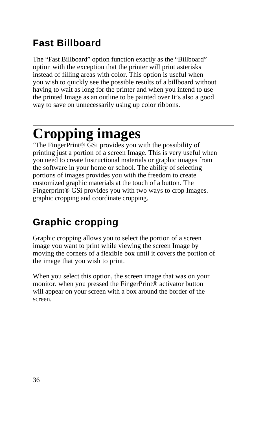### **Fast Billboard**

The "Fast Billboard" option function exactly as the "Billboard" option with the exception that the printer will print asterisks instead of filling areas with color. This option is useful when you wish to quickly see the possible results of a billboard without having to wait as long for the printer and when you intend to use the printed Image as an outline to be painted over It's also a good way to save on unnecessarily using up color ribbons.

### $\overline{a}$ **Cropping images**

'The FingerPrint® GSi provides you with the possibility of printing just a portion of a screen Image. This is very useful when you need to create Instructional materials or graphic images from the software in your home or school. The ability of selecting portions of images provides you with the freedom to create customized graphic materials at the touch of a button. The Fingerprint® GSi provides you with two ways to crop Images. graphic cropping and coordinate cropping.

### **Graphic cropping**

Graphic cropping allows you to select the portion of a screen image you want to print while viewing the screen Image by moving the corners of a flexible box until it covers the portion of the image that you wish to print.

When you select this option, the screen image that was on your monitor. when you pressed the FingerPrint® activator button will appear on your screen with a box around the border of the screen.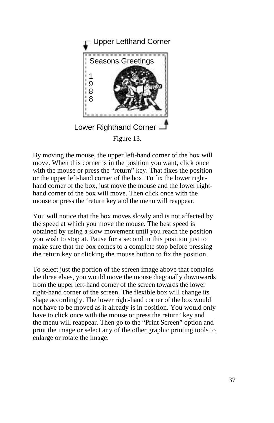

By moving the mouse, the upper left-hand corner of the box will move. When this corner is in the position you want, click once with the mouse or press the "return" key. That fixes the position or the upper left-hand corner of the box. To fix the lower righthand corner of the box, just move the mouse and the lower righthand corner of the box will move. Then click once with the mouse or press the 'return key and the menu will reappear.

You will notice that the box moves slowly and is not affected by the speed at which you move the mouse. The best speed is obtained by using a slow movement until you reach the position you wish to stop at. Pause for a second in this position just to make sure that the box comes to a complete stop before pressing the return key or clicking the mouse button to fix the position.

To select just the portion of the screen image above that contains the three elves, you would move the mouse diagonally downwards from the upper left-hand corner of the screen towards the lower right-hand corner of the screen. The flexible box will change its shape accordingly. The lower right-hand corner of the box would not have to be moved as it already is in position. You would only have to click once with the mouse or press the return' key and the menu will reappear. Then go to the "Print Screen" option and print the image or select any of the other graphic printing tools to enlarge or rotate the image.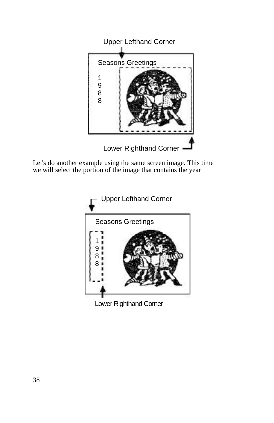

Let's do another example using the same screen image. This time we will select the portion of the image that contains the year



Lower Righthand Corner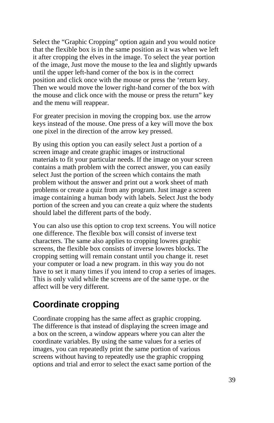Select the "Graphic Cropping" option again and you would notice that the flexible box is in the same position as it was when we left it after cropping the elves in the image. To select the year portion of the image, Just move the mouse to the lea and slightly upwards until the upper left-hand corner of the box is in the correct position and click once with the mouse or press the 'return key. Then we would move the lower right-hand corner of the box with the mouse and click once with the mouse or press the return" key and the menu will reappear.

For greater precision in moving the cropping box. use the arrow keys instead of the mouse. One press of a key will move the box one pixel in the direction of the arrow key pressed.

By using this option you can easily select Just a portion of a screen image and create graphic images or instructional materials to fit your particular needs. If the image on your screen contains a math problem with the correct answer, you can easily select Just the portion of the screen which contains the math problem without the answer and print out a work sheet of math problems or create a quiz from any program. Just image a screen image containing a human body with labels. Select Just the body portion of the screen and you can create a quiz where the students should label the different parts of the body.

You can also use this option to crop text screens. You will notice one difference. The flexible box will consist of inverse text characters. The same also applies to cropping lowres graphic screens, the flexible box consists of inverse lowres blocks. The cropping setting will remain constant until you change it. reset your computer or load a new program. in this way you do not have to set it many times if you intend to crop a series of images. This is only valid while the screens are of the same type. or the affect will be very different.

#### **Coordinate cropping**

Coordinate cropping has the same affect as graphic cropping. The difference is that instead of displaying the screen image and a box on the screen, a window appears where you can alter the coordinate variables. By using the same values for a series of images, you can repeatedly print the same portion of various screens without having to repeatedly use the graphic cropping options and trial and error to select the exact same portion of the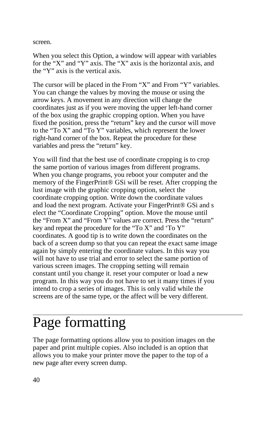screen.

When you select this Option, a window will appear with variables for the "X" and "Y" axis. The "X" axis is the horizontal axis, and the "Y" axis is the vertical axis.

The cursor will be placed in the From "X" and From "Y" variables. You can change the values by moving the mouse or using the arrow keys. A movement in any direction will change the coordinates just as if you were moving the upper left-hand corner of the box using the graphic cropping option. When you have fixed the position, press the "return" key and the cursor will move to the "To X" and "To Y" variables, which represent the lower right-hand corner of the box. Repeat the procedure for these variables and press the "return" key.

You will find that the best use of coordinate cropping is to crop the same portion of various images from different programs. When you change programs, you reboot your computer and the memory of the FingerPrint® GSi will be reset. After cropping the lust image with the graphic cropping option, select the coordinate cropping option. Write down the coordinate values and load the next program. Activate your FingerPrint® GSi and s elect the "Coordinate Cropping" option. Move the mouse until the "From X" and "From Y" values are correct. Press the "return" key and repeat the procedure for the "To X" and 'To Y" coordinates. A good tip is to write down the coordinates on the back of a screen dump so that you can repeat the exact same image again by simply entering the coordinate values. In this way you will not have to use trial and error to select the same portion of various screen images. The cropping setting will remain constant until you change it. reset your computer or load a new program. In this way you do not have to set it many times if you intend to crop a series of images. This is only valid while the screens are of the same type, or the affect will be very different.

### $\overline{a}$ Page formatting

The page formatting options allow you to position images on the paper and print multiple copies. Also included is an option that allows you to make your printer move the paper to the top of a new page after every screen dump.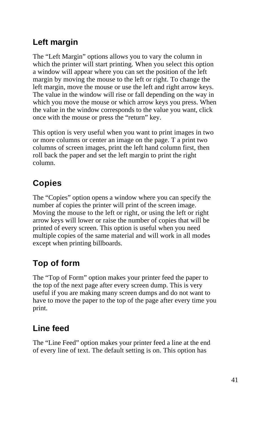#### **Left margin**

The "Left Margin" options allows you to vary the column in which the printer will start printing. When you select this option a window will appear where you can set the position of the left margin by moving the mouse to the left or right. To change the left margin, move the mouse or use the left and right arrow keys. The value in the window will rise or fall depending on the way in which you move the mouse or which arrow keys you press. When the value in the window corresponds to the value you want, click once with the mouse or press the "return" key.

This option is very useful when you want to print images in two or more columns or center an image on the page. T a print two columns of screen images, print the left hand column first, then roll back the paper and set the left margin to print the right column.

### **Copies**

The "Copies" option opens a window where you can specify the number af copies the printer will print of the screen image. Moving the mouse to the left or right, or using the left or right arrow keys will lower or raise the number of copies that will be printed of every screen. This option is useful when you need multiple copies of the same material and will work in all modes except when printing billboards.

### **Top of form**

The "Top of Form" option makes your printer feed the paper to the top of the next page after every screen dump. This is very useful if you are making many screen dumps and do not want to have to move the paper to the top of the page after every time you print.

#### **Line feed**

The "Line Feed" option makes your printer feed a line at the end of every line of text. The default setting is on. This option has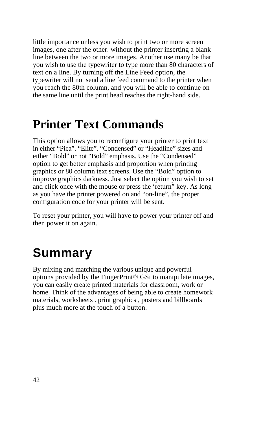little importance unless you wish to print two or more screen images, one after the other. without the printer inserting a blank line between the two or more images. Another use many be that you wish to use the typewriter to type more than 80 characters of text on a line. By turning off the Line Feed option, the typewriter will not send a line feed command to the printer when you reach the 80th column, and you will be able to continue on the same line until the print head reaches the right-hand side.

#### $\overline{a}$ **Printer Text Commands**

This option allows you to reconfigure your printer to print text in either "Pica". "Elite". "Condensed" or "Headline" sizes and either "Bold" or not "Bold" emphasis. Use the "Condensed" option to get better emphasis and proportion when printing graphics or 80 column text screens. Use the "Bold" option to improve graphics darkness. Just select the option you wish to set and click once with the mouse or press the 'return" key. As long as you have the printer powered on and "on-line", the proper configuration code for your printer will be sent.

To reset your printer, you will have to power your printer off and then power it on again.

## **Summary**

By mixing and matching the various unique and powerful options provided by the FingerPrint® GSi to manipulate images, you can easily create printed materials for classroom, work or home. Think of the advantages of being able to create homework materials, worksheets . print graphics , posters and billboards plus much more at the touch of a button.

 $\overline{a}$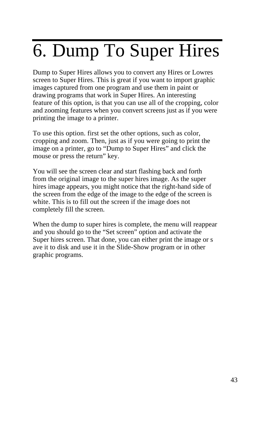# 6. Dump To Super Hires

Dump to Super Hires allows you to convert any Hires or Lowres screen to Super Hires. This is great if you want to import graphic images captured from one program and use them in paint or drawing programs that work in Super Hires. An interesting feature of this option, is that you can use all of the cropping, color and zooming features when you convert screens just as if you were printing the image to a printer.

To use this option. first set the other options, such as color, cropping and zoom. Then, just as if you were going to print the image on a printer, go to "Dump to Super Hires" and click the mouse or press the return" key.

You will see the screen clear and start flashing back and forth from the original image to the super hires image. As the super hires image appears, you might notice that the right-hand side of the screen from the edge of the image to the edge of the screen is white. This is to fill out the screen if the image does not completely fill the screen.

When the dump to super hires is complete, the menu will reappear and you should go to the "Set screen" option and activate the Super hires screen. That done, you can either print the image or s ave it to disk and use it in the Slide-Show program or in other graphic programs.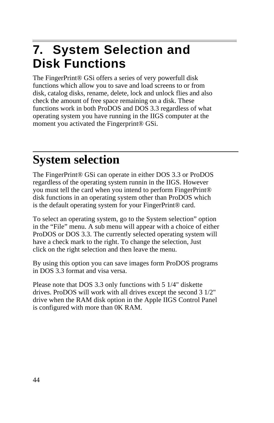### **7. System Selection and Disk Functions**

The FingerPrint® GSi offers a series of very powerfull disk functions which allow you to save and load screens to or from disk, catalog disks, rename, delete, lock and unlock flies and also check the amount of free space remaining on a disk. These functions work in both ProDOS and DOS 3.3 regardless of what operating system you have running in the IIGS computer at the moment you activated the Fingerprint® GSi.

### $\overline{a}$ **System selection**

The FingerPrint® GSi can operate in either DOS 3.3 or ProDOS regardless of the operating system runnin in the IIGS. However you must tell the card when you intend to perform FingerPrint® disk functions in an operating system other than ProDOS which is the default operating system for your FingerPrint® card.

To select an operating system, go to the System selection" option in the "File" menu. A sub menu will appear with a choice of either ProDOS or DOS 3.3. The currently selected operating system will have a check mark to the right. To change the selection, Just click on the right selection and then leave the menu.

By using this option you can save images form ProDOS programs in DOS 3.3 format and visa versa.

Please note that DOS 3.3 only functions with 5 1/4" diskette drives. ProDOS will work with all drives except the second 3 1/2" drive when the RAM disk option in the Apple IIGS Control Panel is configured with more than 0K RAM.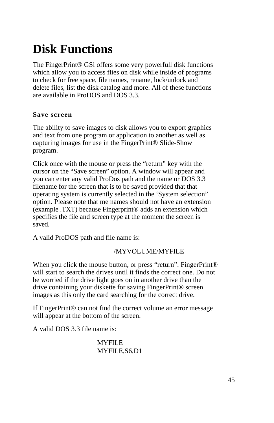### $\overline{a}$ **Disk Functions**

The FingerPrint® GSi offers some very powerfull disk functions which allow you to access flies on disk while inside of programs to check for free space, file names, rename, lock/unlock and delete files, list the disk catalog and more. All of these functions are available in ProDOS and DOS 3.3.

#### **Save screen**

The ability to save images to disk allows you to export graphics and text from one program or application to another as well as capturing images for use in the FingerPrint® Slide-Show program.

Click once with the mouse or press the "return" key with the cursor on the "Save screen" option. A window will appear and you can enter any valid ProDos path and the name or DOS 3.3 filename for the screen that is to be saved provided that that operating system is currently selected in the 'System selection" option. Please note that me names should not have an extension (example .TXT) because Fingerprint® adds an extension which specifies the file and screen type at the moment the screen is saved.

A valid ProDOS path and file name is:

#### /MYVOLUME/MYFILE

When you click the mouse button, or press "return". FingerPrint® will start to search the drives until it finds the correct one. Do not be worried if the drive light goes on in another drive than the drive containing your diskette for saving FingerPrint® screen images as this only the card searching for the correct drive.

If FingerPrint® can not find the correct volume an error message will appear at the bottom of the screen.

A valid DOS 3.3 file name is:

#### **MYFILE** MYFILE,S6,D1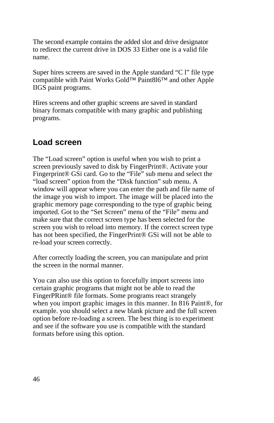The second example contains the added slot and drive designator to redirect the current drive in DOS 33 Either one is a valid file name.

Super hires screens are saved in the Apple standard "C l" file type compatible with Paint Works Gold™ Paint8l6™ and other Apple IIGS paint programs.

Hires screens and other graphic screens are saved in standard binary formats compatible with many graphic and publishing programs.

#### **Load screen**

The "Load screen" option is useful when you wish to print a screen previously saved to disk by FingerPrint®. Activate your Fingerprint® GSi card. Go to the "File" sub menu and select the "load screen" option from the "Disk function" sub menu. A window will appear where you can enter the path and file name of the image you wish to import. The image will be placed into the graphic memory page corresponding to the type of graphic being imported. Got to the "Set Screen" menu of the "File" menu and make sure that the correct screen type has been selected for the screen you wish to reload into memory. If the correct screen type has not been specified, the FingerPrint® GSi will not be able to re-load your screen correctly.

After correctly loading the screen, you can manipulate and print the screen in the normal manner.

You can also use this option to forcefully import screens into certain graphic programs that might not be able to read the FingerPRint® file formats. Some programs react strangely when you import graphic images in this manner. In 816 Paint®, for example. you should select a new blank picture and the full screen option before re-loading a screen. The best thing is to experiment and see if the software you use is compatible with the standard formats before using this option.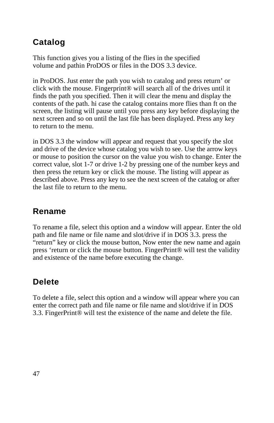### **Catalog**

This function gives you a listing of the flies in the specified volume and pathin ProDOS or files in the DOS 3.3 device.

in ProDOS. Just enter the path you wish to catalog and press return' or click with the mouse. Fingerprint® will search all of the drives until it finds the path you specified. Then it will clear the menu and display the contents of the path. hi case the catalog contains more flies than ft on the screen, the listing will pause until you press any key before displaying the next screen and so on until the last file has been displayed. Press any key to return to the menu.

in DOS 3.3 the window will appear and request that you specify the slot and drive of the device whose catalog you wish to see. Use the arrow keys or mouse to position the cursor on the value you wish to change. Enter the correct value, slot 1-7 or drive 1-2 by pressing one of the number keys and then press the return key or click the mouse. The listing will appear as described above. Press any key to see the next screen of the catalog or after the last file to return to the menu.

#### **Rename**

To rename a file, select this option and a window will appear. Enter the old path and file name or file name and slot/drive if in DOS 3.3. press the "return" key or click the mouse button, Now enter the new name and again press 'return or click the mouse button. FingerPrint® will test the validity and existence of the name before executing the change.

#### **Delete**

To delete a file, select this option and a window will appear where you can enter the correct path and file name or file name and slot/drive if in DOS 3.3. FingerPrint® will test the existence of the name and delete the file.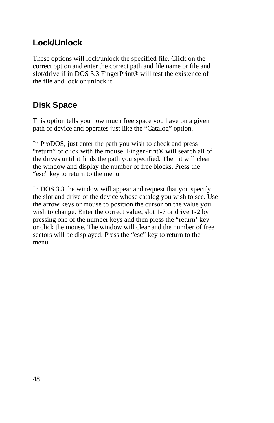#### **Lock/Unlock**

These options will lock/unlock the specified file. Click on the correct option and enter the correct path and file name or file and slot/drive if in DOS 3.3 FingerPrint® will test the existence of the file and lock or unlock it.

#### **Disk Space**

This option tells you how much free space you have on a given path or device and operates just like the "Catalog" option.

In ProDOS, just enter the path you wish to check and press "return" or click with the mouse. FingerPrint® will search all of the drives until it finds the path you specified. Then it will clear the window and display the number of free blocks. Press the "esc" key to return to the menu.

In DOS 3.3 the window will appear and request that you specify the slot and drive of the device whose catalog you wish to see. Use the arrow keys or mouse to position the cursor on the value you wish to change. Enter the correct value, slot 1-7 or drive 1-2 by pressing one of the number keys and then press the "return' key or click the mouse. The window will clear and the number of free sectors will be displayed. Press the "esc" key to return to the menu.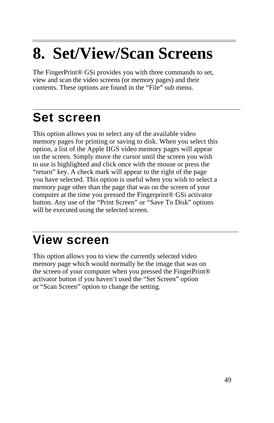# **8. Set/View/Scan Screens**

The FingerPrint® GSi provides you with three commands to set, view and scan the video screens (or memory pages) and their contents. These options are found in the "File" sub menu.

### **Set screen**

 $\overline{a}$ 

This option allows you to select any of the available video memory pages for printing or saving to disk. When you select this option, a list of the Apple IIGS video memory pages will appear on the screen. Simply move the cursor until the screen you wish to use is highlighted and click once with the mouse or press the "return" key. A check mark will appear to the right of the page you have selected. This option is useful when you wish to select a memory page other than the page that was on the screen of your computer at the time you pressed the Fingerprint® GSi activator button. Any use of the "Print Screen" or "Save To Disk" options will be executed using the selected screen.

### $\overline{a}$ **View screen**

This option allows you to view the currently selected video memory page which would normally be the image that was on the screen of your computer when you pressed the FingerPrint® activator button if you haven't used the "Set Screen" option or "Scan Screen" option to change the setting.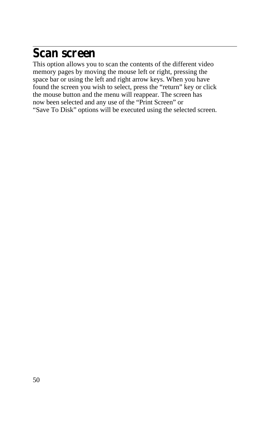### **Scan screen**

This option allows you to scan the contents of the different video memory pages by moving the mouse left or right, pressing the space bar or using the left and right arrow keys. When you have found the screen you wish to select, press the "return" key or click the mouse button and the menu will reappear. The screen has now been selected and any use of the "Print Screen" or "Save To Disk" options will be executed using the selected screen.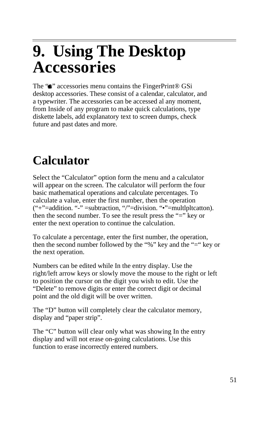# $\overline{a}$ **9. Using The Desktop Accessories**

The " $\blacksquare$ " accessories menu contains the FingerPrint® GSi desktop accessories. These consist of a calendar, calculator, and a typewriter. The accessories can be accessed al any moment, from Inside of any program to make quick calculations, type diskette labels, add explanatory text to screen dumps, check future and past dates and more.

### **Calculator**

Select the "Calculator" option form the menu and a calculator will appear on the screen. The calculator will perform the four basic mathematical operations and calculate percentages. To calculate a value, enter the first number, then the operation ("+"=addition. "-" =subtraction, "/"=division. "•"=multlpltcatton). then the second number. To see the result press the "=" key or enter the next operation to continue the calculation.

To calculate a percentage, enter the first number, the operation, then the second number followed by the "%" key and the "=" key or the next operation.

Numbers can be edited while In the entry display. Use the right/left arrow keys or slowly move the mouse to the right or left to position the cursor on the digit you wish to edit. Use the "Delete" to remove digits or enter the correct digit or decimal point and the old digit will be over written.

The "D" button will completely clear the calculator memory, display and "paper strip".

The "C" button will clear only what was showing In the entry display and will not erase on-going calculations. Use this function to erase incorrectly entered numbers.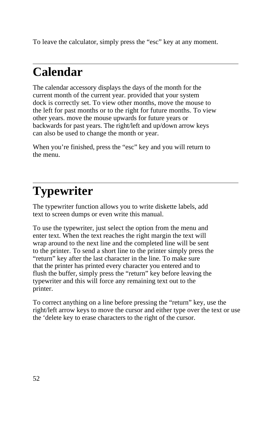To leave the calculator, simply press the "esc" key at any moment.

## **Calendar**

 $\overline{a}$ 

The calendar accessory displays the days of the month for the current month of the current year. provided that your system dock is correctly set. To view other months, move the mouse to the left for past months or to the right for future months. To view other years. move the mouse upwards for future years or backwards for past years. The right/left and up/down arrow keys can also be used to change the month or year.

When you're finished, press the "esc" key and you will return to the menu.

### $\overline{a}$ **Typewriter**

The typewriter function allows you to write diskette labels, add text to screen dumps or even write this manual.

To use the typewriter, just select the option from the menu and enter text. When the text reaches the right margin the text will wrap around to the next line and the completed line will be sent to the printer. To send a short line to the printer simply press the "return" key after the last character in the line. To make sure that the printer has printed every character you entered and to flush the buffer, simply press the "return" key before leaving the typewriter and this will force any remaining text out to the printer.

To correct anything on a line before pressing the "return" key, use the right/left arrow keys to move the cursor and either type over the text or use the 'delete key to erase characters to the right of the cursor.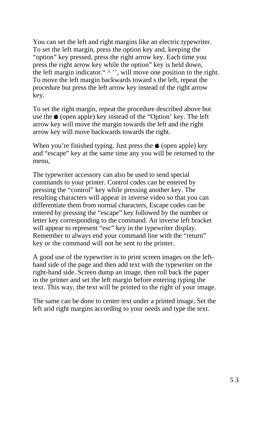You can set the left and right margins like an electric typewriter. To set the left margin, press the option key and, keeping the "option" key pressed, press the right arrow key. Each time you press the right arrow key while the option" key is held down, the left margin indicator." ^ '', will move one position to the right. To move the left margin backwards toward s the left, repeat the procedure but press the left arrow key instead of the right arrow key.

To set the right margin, repeat the procedure described above but use the  $\triangleq$  (open apple) key instead of the "Option' key. The left arrow key will move the margin towards the left and the right arrow key will move backwards towards the right.

When you're finished typing. Just press the  $\triangleq$  (open apple) key and "escape" key at the same time any you will be returned to the menu,

The typewriter accessory can also be used to send special commands to your printer. Control codes can be entered by pressing the "control" key while pressing another key. The resulting characters will appear in inverse video so that you can differentiate them from normal characters, Escape codes can be entered by pressing the "escape" key followed by the number or letter key corresponding to the command. An inverse left bracket will appear to represent "esc" key in the typewriter display. Remember to always end your command line with the "return" key or the command will not be sent to the printer.

A good use of the typewriter is to print screen images on the lefthand side of the page and then add text with the typewriter on the right-hand side. Screen dump an image, then roll back the paper in the printer and set the left margin before entering typing the text. This way, the text will be printed to the right of your image.

The same can be done to center text under a printed image. Set the left arid right margins according to your needs and type the text.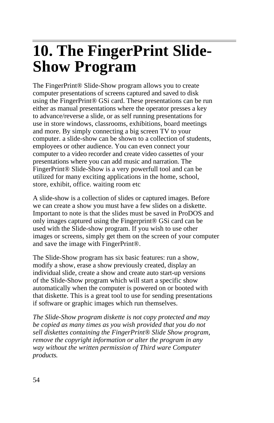## **10. The FingerPrint Slide-Show Program**

The FingerPrint® Slide-Show program allows you to create computer presentations of screens captured and saved to disk using the FingerPrint® GSi card. These presentations can be run either as manual presentations where the operator presses a key to advance/reverse a slide, or as self running presentations for use in store windows, classrooms, exhibitions, board meetings and more. By simply connecting a big screen TV to your computer. a slide-show can be shown to a collection of students, employees or other audience. You can even connect your computer to a video recorder and create video cassettes of your presentations where you can add music and narration. The FingerPrint® Slide-Show is a very powerfull tool and can be utilized for many exciting applications in the home, school, store, exhibit, office. waiting room etc

A slide-show is a collection of slides or captured images. Before we can create a show you must have a few slides on a diskette. Important to note is that the slides must be saved in ProDOS and only images captured using the Fingerprint® GSi card can be used with the Slide-show program. If you wish to use other images or screens, simply get them on the screen of your computer and save the image with FingerPrint®.

The Slide-Show program has six basic features: run a show, modify a show, erase a show previously created, display an individual slide, create a show and create auto start-up versions of the Slide-Show program which will start a specific show automatically when the computer is powered on or booted with that diskette. This is a great tool to use for sending presentations if software or graphic images which run themselves.

*The Slide-Show program diskette is not copy protected and may be copied as many times as you wish provided that you do not sell diskettes containing the FingerPrint® Slide Show program, remove the copyright information or alter the program in any way without the written permission of Third ware Computer products.*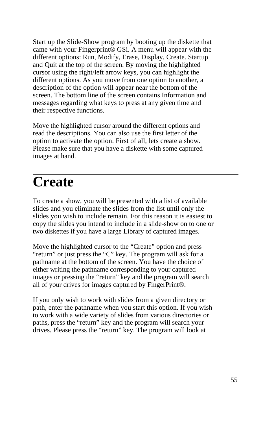Start up the Slide-Show program by booting up the diskette that came with your Fingerprint® GSi. A menu will appear with the different options: Run, Modify, Erase, Display, Create. Startup and Quit at the top of the screen. By moving the highlighted cursor using the right/left arrow keys, you can highlight the different options. As you move from one option to another, a description of the option will appear near the bottom of the screen. The bottom line of the screen contains Information and messages regarding what keys to press at any given time and their respective functions.

Move the highlighted cursor around the different options and read the descriptions. You can also use the first letter of the option to activate the option. First of all, lets create a show. Please make sure that you have a diskette with some captured images at hand.

### $\overline{a}$ **Create**

To create a show, you will be presented with a list of available slides and you eliminate the slides from the list until only the slides you wish to include remain. For this reason it is easiest to copy the slides you intend to include in a slide-show on to one or two diskettes if you have a large Library of captured images.

Move the highlighted cursor to the "Create" option and press "return" or just press the "C" key. The program will ask for a pathname at the bottom of the screen. You have the choice of either writing the pathname corresponding to your captured images or pressing the "return" key and the program will search all of your drives for images captured by FingerPrint®.

If you only wish to work with slides from a given directory or path, enter the pathname when you start this option. If you wish to work with a wide variety of slides from various directories or paths, press the "return" key and the program will search your drives. Please press the "return" key. The program will look at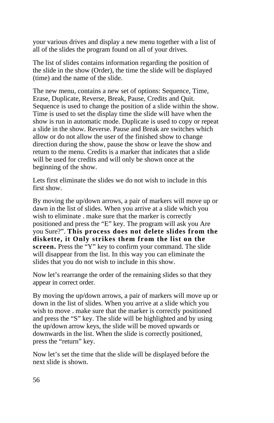your various drives and display a new menu together with a list of all of the slides the program found on all of your drives.

The list of slides contains information regarding the position of the slide in the show (Order), the time the slide will be displayed (time) and the name of the slide.

The new menu, contains a new set of options: Sequence, Time, Erase, Duplicate, Reverse, Break, Pause, Credits and Quit. Sequence is used to change the position of a slide within the show. Time is used to set the display time the slide will have when the show is run in automatic mode. Duplicate is used to copy or repeat a slide in the show. Reverse. Pause and Break are switches which allow or do not allow the user of the finished show to change direction during the show, pause the show or leave the show and return to the menu. Credits is a marker that indicates that a slide will be used for credits and will only be shown once at the beginning of the show.

Lets first eliminate the slides we do not wish to include in this first show.

By moving the up/down arrows, a pair of markers will move up or dawn in the list of slides. When you arrive at a slide which you wish to eliminate . make sure that the marker is correctly positioned and press the "E" key. The program will ask you Are you Sure?". **This process does not delete slides from the diskette, it Only strikes them from the list on the screen.** Press the "Y" key to confirm your command. The slide will disappear from the list. In this way you can eliminate the slides that you do not wish to include in this show.

Now let's rearrange the order of the remaining slides so that they appear in correct order.

By moving the up/down arrows, a pair of markers will move up or down in the list of slides. When you arrive at a slide which you wish to move . make sure that the marker is correctly positioned and press the "S" key. The slide will be highlighted and by using the up/down arrow keys, the slide will be moved upwards or downwards in the list. When the slide is correctly positioned, press the "return" key.

Now let's set the time that the slide will be displayed before the next slide is shown.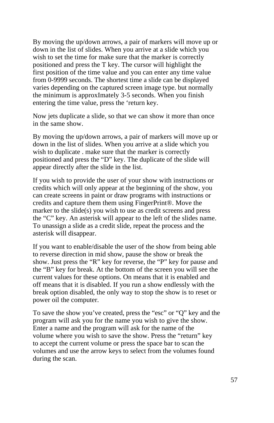By moving the up/down arrows, a pair of markers will move up or down in the list of slides. When you arrive at a slide which you wish to set the time for make sure that the marker is correctly positioned and press the T key. The cursor will highlight the first position of the time value and you can enter any time value from 0-9999 seconds. The shortest time a slide can be displayed varies depending on the captured screen image type. but normally the minimum is approxImately 3-5 seconds. When you finish entering the time value, press the 'return key.

Now jets duplicate a slide, so that we can show it more than once in the same show.

By moving the up/down arrows, a pair of markers will move up or down in the list of slides. When you arrive at a slide which you wish to duplicate . make sure that the marker is correctly positioned and press the "D" key. The duplicate of the slide will appear directly after the slide in the list.

If you wish to provide the user of your show with instructions or credits which will only appear at the beginning of the show, you can create screens in paint or draw programs with instructions or credits and capture them them using FingerPrint®. Move the marker to the slide(s) you wish to use as credit screens and press the "C" key. An asterisk will appear to the left of the slides name. To unassign a slide as a credit slide, repeat the process and the asterisk will disappear.

If you want to enable/disable the user of the show from being able to reverse direction in mid show, pause the show or break the show. Just press the "R" key for reverse, the "P" key for pause and the "B" key for break. At the bottom of the screen you will see the current values for these options. On means that it is enabled and off means that it is disabled. If you run a show endlessly with the break option disabled, the only way to stop the show is to reset or power oil the computer.

To save the show you've created, press the "esc" or "Q" key and the program will ask you for the name you wish to give the show. Enter a name and the program will ask for the name of the volume where you wish to save the show. Press the "return" key to accept the current volume or press the space bar to scan the volumes and use the arrow keys to select from the volumes found during the scan.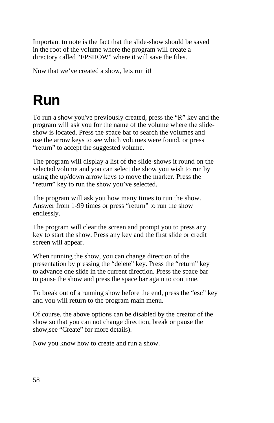Important to note is the fact that the slide-show should be saved in the root of the volume where the program will create a directory called "FPSHOW" where it will save the files.

Now that we've created a show, lets run it!

### $\overline{a}$ **Run**

To run a show you've previously created, press the "R" key and the program will ask you for the name of the volume where the slideshow is located. Press the space bar to search the volumes and use the arrow keys to see which volumes were found, or press "return" to accept the suggested volume.

The program will display a list of the slide-shows it round on the selected volume and you can select the show you wish to run by using the up/down arrow keys to move the marker. Press the "return" key to run the show you've selected.

The program will ask you how many times to run the show. Answer from 1-99 times or press "return" to run the show endlessly.

The program will clear the screen and prompt you to press any key to start the show. Press any key and the first slide or credit screen will appear.

When running the show, you can change direction of the presentation by pressing the "delete" key. Press the "return" key to advance one slide in the current direction. Press the space bar to pause the show and press the space bar again to continue.

To break out of a running show before the end, press the "esc" key and you will return to the program main menu.

Of course. the above options can be disabled by the creator of the show so that you can not change direction, break or pause the show,see "Create" for more details).

Now you know how to create and run a show.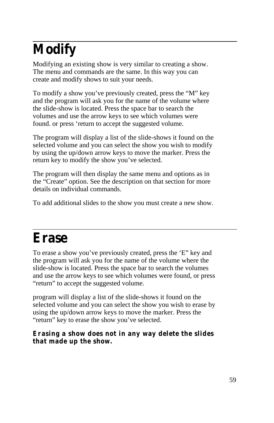## **Modify**

Modifying an existing show is very similar to creating a show. The menu and commands are the same. In this way you can create and modify shows to suit your needs.

To modify a show you've previously created, press the "M" key and the program will ask you for the name of the volume where the slide-show is located. Press the space bar to search the volumes and use the arrow keys to see which volumes were found. or press 'return to accept the suggested volume.

The program will display a list of the slide-shows it found on the selected volume and you can select the show you wish to modify by using the up/down arrow keys to move the marker. Press the return key to modify the show you've selected.

The program will then display the same menu and options as in the "Create" option. See the description on that section for more details on individual commands.

To add additional slides to the show you must create a new show.

### **Erase**

To erase a show you've previously created, press the 'E" key and the program will ask you for the name of the volume where the slide-show is located. Press the space bar to search the volumes and use the arrow keys to see which volumes were found, or press "return" to accept the suggested volume.

program will display a list of the slide-shows it found on the selected volume and you can select the show you wish to erase by using the up/down arrow keys to move the marker. Press the "return" key to erase the show you've selected.

#### **Erasing a show does not in any way delete the slides that made up the show.**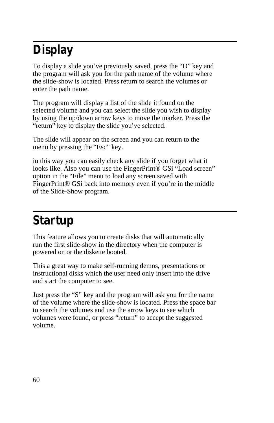### **Display**

To display a slide you've previously saved, press the "D" key and the program will ask you for the path name of the volume where the slide-show is located. Press return to search the volumes or enter the path name.

The program will display a list of the slide it found on the selected volume and you can select the slide you wish to display by using the up/down arrow keys to move the marker. Press the "return" key to display the slide you've selected.

The slide will appear on the screen and you can return to the menu by pressing the "Esc" key.

in this way you can easily check any slide if you forget what it looks like. Also you can use the FingerPrint® GSi "Load screen" option in the "File" menu to load any screen saved with FingerPrint<sup>®</sup> GSi back into memory even if you're in the middle of the Slide-Show program.

## **Startup**

This feature allows you to create disks that will automatically run the first slide-show in the directory when the computer is powered on or the diskette booted.

This a great way to make self-running demos, presentations or instructional disks which the user need only insert into the drive and start the computer to see.

Just press the "S" key and the program will ask you for the name of the volume where the slide-show is located. Press the space bar to search the volumes and use the arrow keys to see which volumes were found, or press "return" to accept the suggested volume.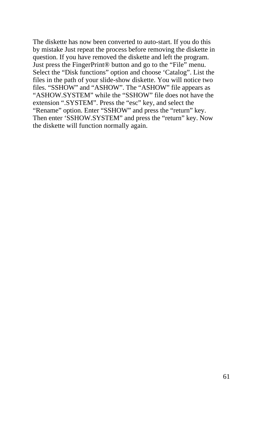The diskette has now been converted to auto-start. If you do this by mistake Just repeat the process before removing the diskette in question. If you have removed the diskette and left the program. Just press the FingerPrint® button and go to the "File" menu. Select the "Disk functions" option and choose 'Catalog". List the files in the path of your slide-show diskette. You will notice two files. "SSHOW" and "ASHOW". The "ASHOW" file appears as "ASHOW.SYSTEM" while the "SSHOW" file does not have the extension ".SYSTEM". Press the "esc" key, and select the "Rename" option. Enter "SSHOW" and press the "return" key. Then enter 'SSHOW.SYSTEM" and press the "return" key. Now the diskette will function normally again.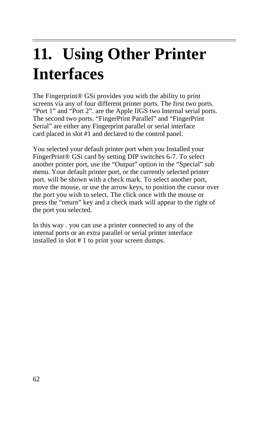# **11. Using Other Printer Interfaces**

The Fingerprint® GSi provides you with the ability to print screens via any of four different printer ports. The first two ports. "Port 1" and "Port 2". are the Apple IIGS two Internal serial ports. The second two ports. "FingerPrint Parallel" and "FingerPrint Serial" are either any Fingerprint parallel or serial interface card placed in slot #1 and declared to the control panel.

You selected your default printer port when you Installed your FingerPrint® GSi card by setting DIP switches 6-7. To select another printer port, use the "Output" option in the "Special" sub menu. Your default printer port, or the currently selected printer port. will be shown with a check mark. To select another port, move the mouse, or use the arrow keys, to position the cursor over the port you wish to select. The click once with the mouse or press the "return" key and a check mark will appear to the right of the port you selected.

In this way . you can use a printer connected to any of the internal ports or an extra parallel or serial printer interface installed in slot # 1 to print your screen dumps.

 $\overline{a}$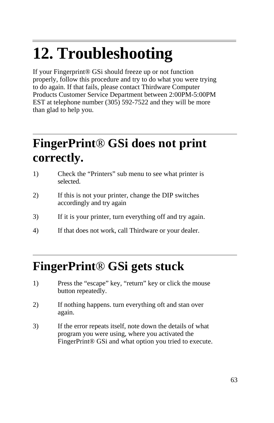# **12. Troubleshooting**

If your Fingerprint® GSi should freeze up or not function properly, follow this procedure and try to do what you were trying to do again. If that fails, please contact Thirdware Computer Products Customer Service Department between 2:00PM-5:00PM EST at telephone number (305) 592-7522 and they will be more than glad to help you.

### **FingerPrint**® **GSi does not print correctly.**

- 1) Check the "Printers" sub menu to see what printer is selected.
- 2) If this is not your printer, change the DIP switches accordingly and try again
- 3) If it is your printer, turn everything off and try again.
- 4) If that does not work, call Thirdware or your dealer.

### **FingerPrint**® **GSi gets stuck**

- 1) Press the "escape" key, "return" key or click the mouse button repeatedly.
- 2) If nothing happens. turn everything oft and stan over again.
- 3) If the error repeats itself, note down the details of what program you were using, where you activated the FingerPrint® GSi and what option you tried to execute.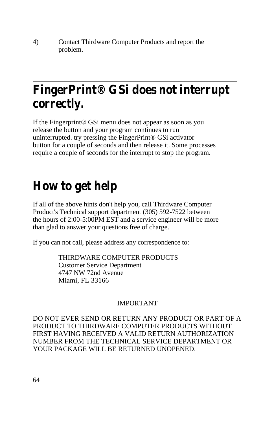4) Contact Thirdware Computer Products and report the problem.

### **FingerPrint® GSi does not interrupt correctly.**

If the Fingerprint® GSi menu does not appear as soon as you release the button and your program continues to run uninterrupted. try pressing the FingerPrint® GSi activator button for a couple of seconds and then release it. Some processes require a couple of seconds for the interrupt to stop the program.

### **How to get help**

If all of the above hints don't help you, call Thirdware Computer Product's Technical support department (305) 592-7522 between the hours of 2:00-5:00PM EST and a service engineer will be more than glad to answer your questions free of charge.

If you can not call, please address any correspondence to:

THIRDWARE COMPUTER PRODUCTS Customer Service Department 4747 NW 72nd Avenue Miami, FL 33166

#### IMPORTANT

DO NOT EVER SEND OR RETURN ANY PRODUCT OR PART OF A PRODUCT TO THIRDWARE COMPUTER PRODUCTS WITHOUT FIRST HAVING RECEIVED A VALID RETURN AUTHORIZATION NUMBER FROM THE TECHNICAL SERVICE DEPARTMENT OR YOUR PACKAGE WILL BE RETURNED UNOPENED.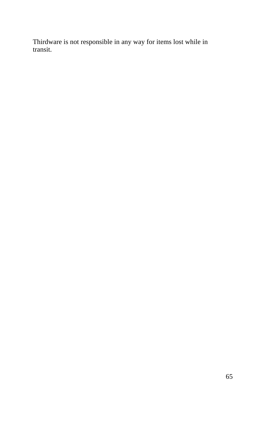Thirdware is not responsible in any way for items lost while in transit.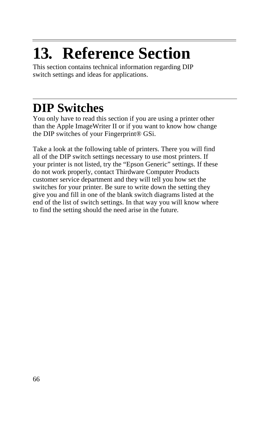# $\overline{a}$ **13. Reference Section**

This section contains technical information regarding DIP switch settings and ideas for applications.

## **DIP Switches**

You only have to read this section if you are using a printer other than the Apple ImageWriter II or if you want to know how change the DIP switches of your Fingerprint® GSi.

Take a look at the following table of printers. There you will find all of the DIP switch settings necessary to use most printers. If your printer is not listed, try the "Epson Generic" settings. If these do not work properly, contact Thirdware Computer Products customer service department and they will tell you how set the switches for your printer. Be sure to write down the setting they give you and fill in one of the blank switch diagrams listed at the end of the list of switch settings. In that way you will know where to find the setting should the need arise in the future.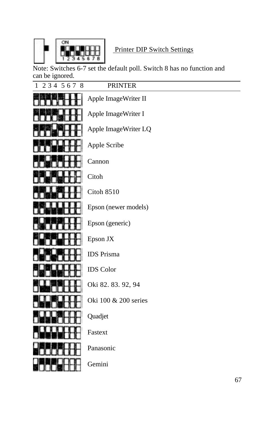

#### Printer DIP Switch Settings

Note: Switches 6-7 set the default poll. Switch 8 has no function and can be ignored.

| 234 567 8<br>1 | <b>PRINTER</b>       |
|----------------|----------------------|
|                | Apple ImageWriter II |
|                | Apple ImageWriter I  |
|                | Apple ImageWriter LQ |
|                | Apple Scribe         |
|                | Cannon               |
|                | Citoh                |
|                | Citoh 8510           |
|                | Epson (newer models) |
|                | Epson (generic)      |
|                | Epson JX             |
|                | <b>IDS</b> Prisma    |
|                | <b>IDS</b> Color     |
|                | Oki 82.83.92, 94     |
|                | Oki 100 & 200 series |
|                | Quadjet              |
|                | Fastext              |
|                | Panasonic            |
|                | Gemini               |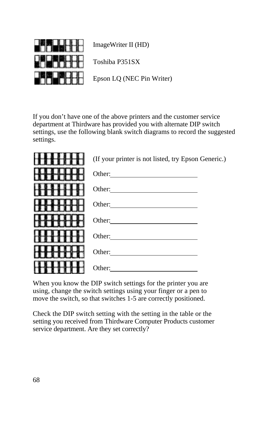

ImageWriter II (HD)

Toshiba P351SX

Epson LQ (NEC Pin Writer)

If you don't have one of the above printers and the customer service department at Thirdware has provided you with alternate DIP switch settings, use the following blank switch diagrams to record the suggested settings.

| (If your printer is not listed, try Epson Generic.)                                                                              |  |
|----------------------------------------------------------------------------------------------------------------------------------|--|
| Other:<br><u> 1980 - Johann Stein, marwolaethau a bhann an t-Albann an t-Albann an t-Albann an t-Albann an t-Albann an t-Alb</u> |  |
|                                                                                                                                  |  |
| Other:<br><u> 1989 - Jan Stein Stein, fransk politik (f. 1918)</u>                                                               |  |
|                                                                                                                                  |  |
| Other:<br><u> 1980 - Antonio Alemania, presidente de la conte</u>                                                                |  |
| Other:<br><u> 1980 - Jan Stein Harry Harry Harry Harry Harry Harry Harry Harry Harry Harry Harry Harry Harry Harry Harry</u>     |  |
| Other:                                                                                                                           |  |

When you know the DIP switch settings for the printer you are using, change the switch settings using your finger or a pen to move the switch, so that switches 1-5 are correctly positioned.

Check the DIP switch setting with the setting in the table or the setting you received from Thirdware Computer Products customer service department. Are they set correctly?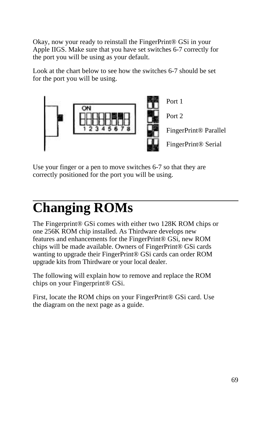Okay, now your ready to reinstall the FingerPrint® GSi in your Apple IIGS. Make sure that you have set switches 6-7 correctly for the port you will be using as your default.

Look at the chart below to see how the switches 6-7 should be set for the port you will be using.



Use your finger or a pen to move switches 6-7 so that they are correctly positioned for the port you will be using.

## $\overline{a}$ **Changing ROMs**

The Fingerprint® GSi comes with either two 128K ROM chips or one 256K ROM chip installed. As Thirdware develops new features and enhancements for the FingerPrint® GSi, new ROM chips will be made available. Owners of FingerPrint® GSi cards wanting to upgrade their FingerPrint® GSi cards can order ROM upgrade kits from Thirdware or your local dealer.

The following will explain how to remove and replace the ROM chips on your Fingerprint® GSi.

First, locate the ROM chips on your FingerPrint® GSi card. Use the diagram on the next page as a guide.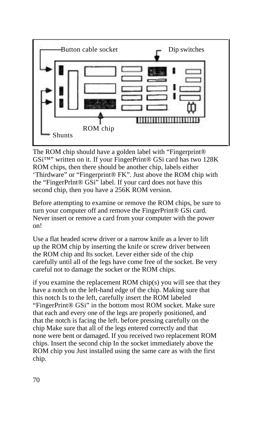

The ROM chip should have a golden label with "Fingerprint® GSi™" written on it. If your FingerPrint® GSi card has two 128K ROM chips, then there should be another chip, labels either 'Thirdware" or "Fingerprint® FK". Just above the ROM chip with the "FingerPrlnt® GSi" label. If your card does not have this second chip, then you have a 256K ROM version.

Before attempting to examine or remove the ROM chips, be sure to turn your computer off and remove the FingerPrint® GSi card. Never insert or remove a card from your computer with the power on!

Use a flat headed screw driver or a narrow knife as a lever to lift up the ROM chip by inserting the knife or screw driver between the ROM chip and Its socket. Lever either side of the chip carefully until all of the legs have come free of the socket. Be very careful not to damage the socket or the ROM chips.

if you examine the replacement ROM chip(s) you will see that they have a notch on the left-hand edge of the chip. Making sure that this notch Is to the left, carefully insert the ROM labeled "FingerPrint® GSi" in the bottom most ROM socket. Make sure that each and every one of the legs are properly positioned, and that the notch is facing the left. before pressing carefully on the chip Make sure that all of the legs entered correctly and that none were bent or damaged. If you received two replacement ROM chips. Insert the second chip In the socket immediately above the ROM chip you Just installed using the same care as with the first chip.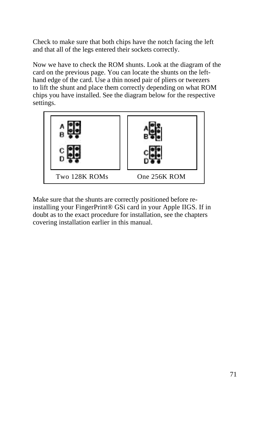Check to make sure that both chips have the notch facing the left and that all of the legs entered their sockets correctly.

Now we have to check the ROM shunts. Look at the diagram of the card on the previous page. You can locate the shunts on the lefthand edge of the card. Use a thin nosed pair of pliers or tweezers to lift the shunt and place them correctly depending on what ROM chips you have installed. See the diagram below for the respective settings.



Make sure that the shunts are correctly positioned before reinstalling your FingerPrint® GSi card in your Apple IIGS. If in doubt as to the exact procedure for installation, see the chapters covering installation earlier in this manual.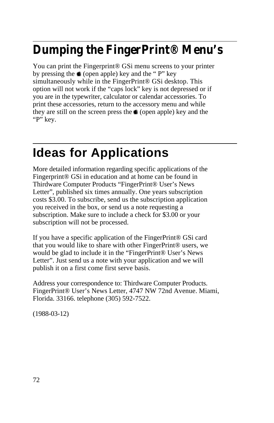## **Dumping the FingerPrint® Menu's**

You can print the Fingerprint® GSi menu screens to your printer by pressing the  $\triangleq$  (open apple) key and the " P" key simultaneously while in the FingerPrint® GSi desktop. This option will not work if the "caps lock" key is not depressed or if you are in the typewriter, calculator or calendar accessories. To print these accessories, return to the accessory menu and while they are still on the screen press the  $\triangleq$  (open apple) key and the "P" key.

## **Ideas for Applications**

More detailed information regarding specific applications of the Fingerprint® GSi in education and at home can be found in Thirdware Computer Products "FingerPrint® User's News Letter", published six times annually. One years subscription costs \$3.00. To subscribe, send us the subscription application you received in the box, or send us a note requesting a subscription. Make sure to include a check for \$3.00 or your subscription will not be processed.

If you have a specific application of the FingerPrint® GSi card that you would like to share with other FingerPrint® users, we would be glad to include it in the "FingerPrint® User's News Letter". Just send us a note with your application and we will publish it on a first come first serve basis.

Address your correspondence to: Thirdware Computer Products. FingerPrint® User's News Letter, 4747 NW 72nd Avenue. Miami, Florida. 33166. telephone (305) 592-7522.

(1988-03-12)